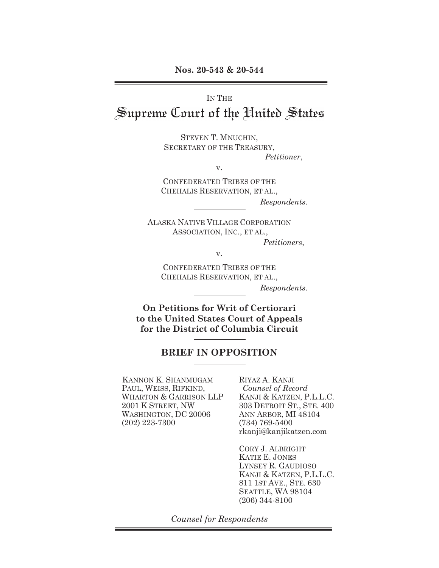IN THE Supreme Court of the United States

> STEVEN T. MNUCHIN, SECRETARY OF THE TREASURY, *Petitioner*,

> > v.

CONFEDERATED TRIBES OF THE CHEHALIS RESERVATION, ET AL., *Respondents.* 

ALASKA NATIVE VILLAGE CORPORATION ASSOCIATION, INC., ET AL.,

*Petitioners*,

v.

CONFEDERATED TRIBES OF THE CHEHALIS RESERVATION, ET AL., *Respondents.* 

**On Petitions for Writ of Certiorari to the United States Court of Appeals for the District of Columbia Circuit** 

## **BRIEF IN OPPOSITION**

KANNON K. SHANMUGAM PAUL, WEISS, RIFKIND, WHARTON & GARRISON LLP 2001 K STREET, NW WASHINGTON, DC 20006 (202) 223-7300

RIYAZ A. KANJI *Counsel of Record*  KANJI & KATZEN, P.L.L.C. 303 DETROIT ST., STE. 400 ANN ARBOR, MI 48104 (734) 769-5400 rkanji@kanjikatzen.com

CORY J. ALBRIGHT KATIE E. JONES LYNSEY R. GAUDIOSO KANJI & KATZEN, P.L.L.C. 811 1ST AVE., STE. 630 SEATTLE, WA 98104 (206) 344-8100

*Counsel for Respondents*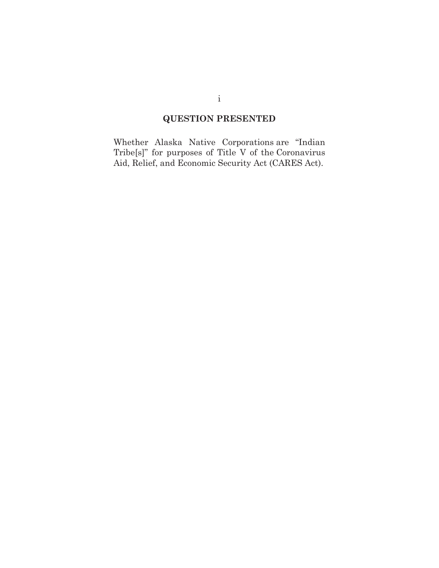## **QUESTION PRESENTED**

Whether Alaska Native Corporations are "Indian Tribe[s]" for purposes of Title V of the Coronavirus Aid, Relief, and Economic Security Act (CARES Act).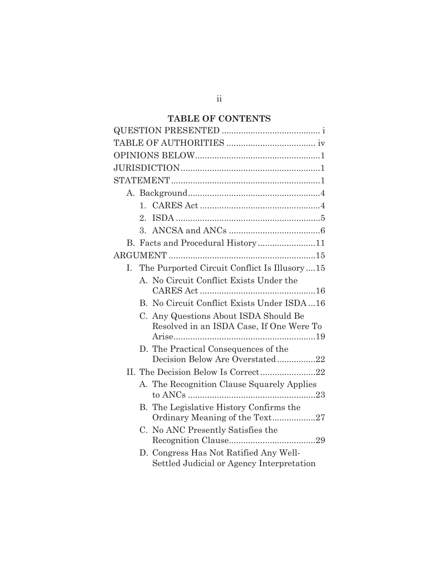## **TABLE OF CONTENTS**

|    | $\mathbf{1}$    |                                                                                     |
|----|-----------------|-------------------------------------------------------------------------------------|
|    | 2.              |                                                                                     |
|    | $\mathcal{R}$ . |                                                                                     |
|    |                 |                                                                                     |
|    |                 |                                                                                     |
| L. |                 | The Purported Circuit Conflict Is Illusory15                                        |
|    |                 | A. No Circuit Conflict Exists Under the                                             |
|    |                 | B. No Circuit Conflict Exists Under ISDA  16                                        |
|    |                 | C. Any Questions About ISDA Should Be<br>Resolved in an ISDA Case, If One Were To   |
|    |                 | D. The Practical Consequences of the                                                |
|    |                 | Decision Below Are Overstated22                                                     |
|    |                 |                                                                                     |
|    |                 | A. The Recognition Clause Squarely Applies                                          |
|    |                 | B. The Legislative History Confirms the<br>Ordinary Meaning of the Text27           |
|    |                 | C. No ANC Presently Satisfies the                                                   |
|    |                 | D. Congress Has Not Ratified Any Well-<br>Settled Judicial or Agency Interpretation |

ii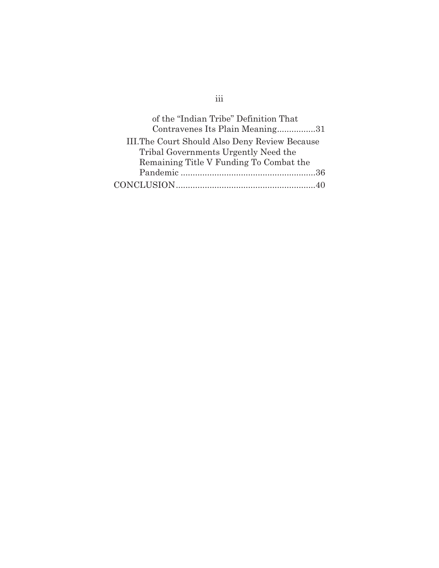| of the "Indian Tribe" Definition That          |  |
|------------------------------------------------|--|
| Contravenes Its Plain Meaning31                |  |
| III. The Court Should Also Deny Review Because |  |
| Tribal Governments Urgently Need the           |  |
| Remaining Title V Funding To Combat the        |  |
|                                                |  |
|                                                |  |

# iii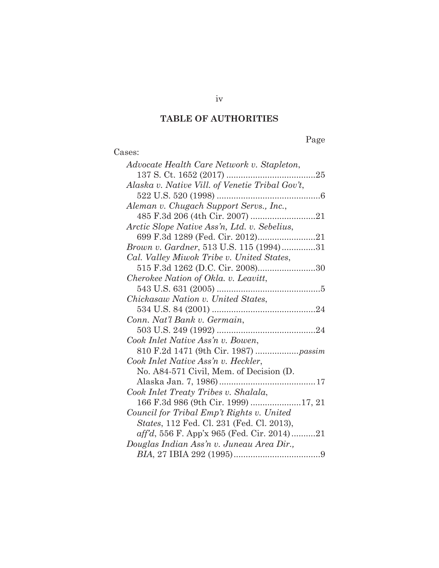## **TABLE OF AUTHORITIES**

# Page

| Cases:                                             |
|----------------------------------------------------|
| Advocate Health Care Network v. Stapleton,         |
|                                                    |
| Alaska v. Native Vill. of Venetie Tribal Gov't,    |
|                                                    |
| Aleman v. Chugach Support Servs., Inc.,            |
|                                                    |
| Arctic Slope Native Ass'n, Ltd. v. Sebelius,       |
|                                                    |
| Brown v. Gardner, 513 U.S. 115 (1994)31            |
| Cal. Valley Miwok Tribe v. United States,          |
| 515 F.3d 1262 (D.C. Cir. 2008)30                   |
| Cherokee Nation of Okla. v. Leavitt,               |
|                                                    |
| Chickasaw Nation v. United States,                 |
|                                                    |
| Conn. Nat'l Bank v. Germain,                       |
|                                                    |
| Cook Inlet Native Ass'n v. Bowen,                  |
|                                                    |
| Cook Inlet Native Ass'n v. Heckler,                |
| No. A84-571 Civil, Mem. of Decision (D.            |
|                                                    |
| Cook Inlet Treaty Tribes v. Shalala,               |
| 166 F.3d 986 (9th Cir. 1999) 17, 21                |
| Council for Tribal Emp't Rights v. United          |
| <i>States</i> , 112 Fed. Cl. 231 (Fed. Cl. 2013),  |
| $\alpha f/d$ , 556 F. App'x 965 (Fed. Cir. 2014)21 |
| Douglas Indian Ass'n v. Juneau Area Dir.,          |
|                                                    |

iv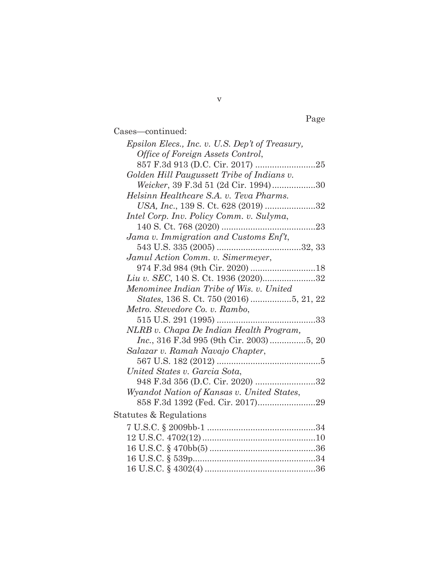Cases—continued:

| Epsilon Elecs., Inc. v. U.S. Dep't of Treasury, |
|-------------------------------------------------|
| Office of Foreign Assets Control,               |
|                                                 |
| Golden Hill Paugussett Tribe of Indians v.      |
| Weicker, 39 F.3d 51 (2d Cir. 1994)30            |
| Helsinn Healthcare S.A. v. Teva Pharms.         |
| USA, Inc., 139 S. Ct. 628 (2019) 32             |
| Intel Corp. Inv. Policy Comm. v. Sulyma,        |
|                                                 |
| Jama v. Immigration and Customs Enf't,          |
|                                                 |
| Jamul Action Comm. v. Simermeyer,               |
|                                                 |
| Liu v. SEC, 140 S. Ct. 1936 (2020)32            |
| Menominee Indian Tribe of Wis. v. United        |
|                                                 |
| Metro. Stevedore Co. v. Rambo,                  |
|                                                 |
| NLRB v. Chapa De Indian Health Program,         |
| Inc., 316 F.3d 995 (9th Cir. 2003) 5, 20        |
| Salazar v. Ramah Navajo Chapter,                |
|                                                 |
| United States v. Garcia Sota,                   |
| 948 F.3d 356 (D.C. Cir. 2020) 32                |
| Wyandot Nation of Kansas v. United States,      |
|                                                 |
| Statutes & Regulations                          |
|                                                 |
|                                                 |
|                                                 |
|                                                 |
|                                                 |

v

Page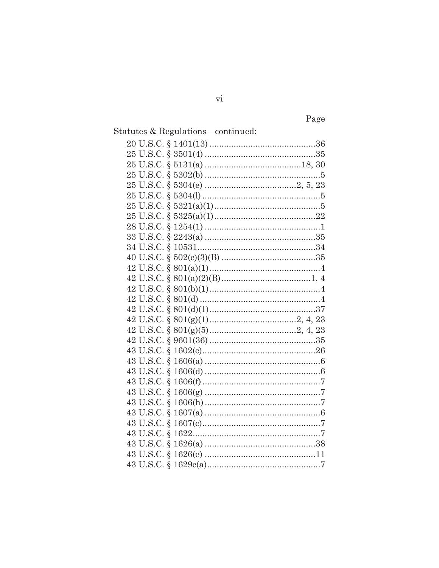Page

| Statutes & Regulations-continued: |  |
|-----------------------------------|--|
|                                   |  |
|                                   |  |
|                                   |  |
|                                   |  |
|                                   |  |
|                                   |  |
|                                   |  |
|                                   |  |
|                                   |  |
|                                   |  |
|                                   |  |
|                                   |  |
|                                   |  |
|                                   |  |
|                                   |  |
|                                   |  |
|                                   |  |
|                                   |  |
|                                   |  |
|                                   |  |
|                                   |  |
|                                   |  |
|                                   |  |
|                                   |  |
|                                   |  |
|                                   |  |
|                                   |  |
|                                   |  |
|                                   |  |
|                                   |  |
|                                   |  |
|                                   |  |

 $\rm{vi}$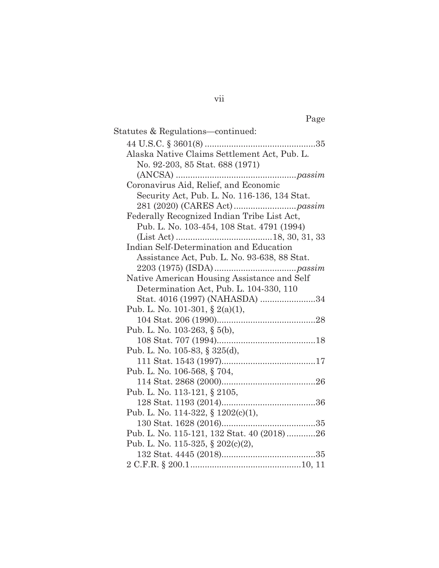| Statutes & Regulations—continued:            |
|----------------------------------------------|
|                                              |
| Alaska Native Claims Settlement Act, Pub. L. |
| No. 92-203, 85 Stat. 688 (1971)              |
|                                              |
| Coronavirus Aid, Relief, and Economic        |
| Security Act, Pub. L. No. 116-136, 134 Stat. |
|                                              |
| Federally Recognized Indian Tribe List Act,  |
| Pub. L. No. 103-454, 108 Stat. 4791 (1994)   |
|                                              |
| Indian Self-Determination and Education      |
| Assistance Act, Pub. L. No. 93-638, 88 Stat. |
|                                              |
| Native American Housing Assistance and Self  |
| Determination Act, Pub. L. 104-330, 110      |
| Stat. 4016 (1997) (NAHASDA) 34               |
| Pub. L. No. 101-301, § 2(a)(1),              |
|                                              |
| Pub. L. No. 103-263, § 5(b),                 |
|                                              |
| Pub. L. No. 105-83, § $325(d)$ ,             |
|                                              |
| Pub. L. No. 106-568, § 704,                  |
|                                              |
| Pub. L. No. 113-121, § 2105,                 |
|                                              |
| Pub. L. No. 114-322, § 1202(c)(1),           |
|                                              |
| Pub. L. No. 115-121, 132 Stat. 40 (2018)26   |
| Pub. L. No. 115-325, § 202(c)(2),            |
|                                              |
|                                              |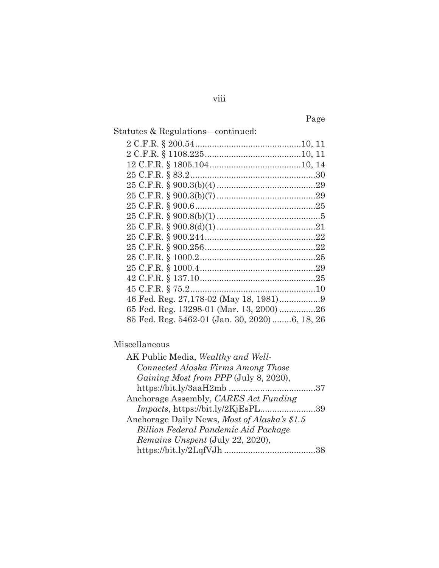Page

| Statutes & Regulations—continued:             |  |
|-----------------------------------------------|--|
|                                               |  |
|                                               |  |
|                                               |  |
|                                               |  |
|                                               |  |
|                                               |  |
|                                               |  |
|                                               |  |
|                                               |  |
|                                               |  |
|                                               |  |
|                                               |  |
|                                               |  |
|                                               |  |
|                                               |  |
|                                               |  |
| 65 Fed. Reg. 13298-01 (Mar. 13, 2000) 26      |  |
| 85 Fed. Reg. 5462-01 (Jan. 30, 2020)6, 18, 26 |  |
|                                               |  |

## Miscellaneous

| AK Public Media, Wealthy and Well-           |  |
|----------------------------------------------|--|
| Connected Alaska Firms Among Those           |  |
| Gaining Most from PPP (July 8, 2020),        |  |
|                                              |  |
| Anchorage Assembly, CARES Act Funding        |  |
| Impacts, https://bit.ly/2KjEsPL39            |  |
| Anchorage Daily News, Most of Alaska's \$1.5 |  |
| Billion Federal Pandemic Aid Package         |  |
| Remains Unspent (July 22, 2020),             |  |
|                                              |  |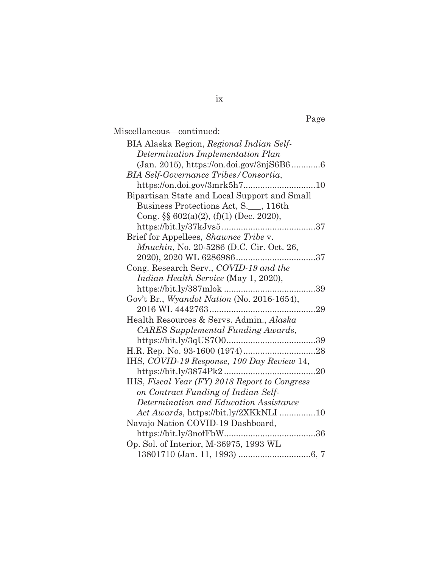|--|

| Miscellaneous-continued:                         |
|--------------------------------------------------|
| BIA Alaska Region, Regional Indian Self-         |
| Determination Implementation Plan                |
| (Jan. 2015), https://on.doi.gov/3njS6B66         |
| <b>BIA Self-Governance Tribes/Consortia,</b>     |
| https://on.doi.gov/3mrk5h710                     |
| Bipartisan State and Local Support and Small     |
| Business Protections Act, S. __, 116th           |
| Cong. $\S\S 602(a)(2)$ , (f)(1) (Dec. 2020),     |
|                                                  |
| Brief for Appellees, Shawnee Tribe v.            |
| <i>Mnuchin</i> , No. 20-5286 (D.C. Cir. Oct. 26, |
|                                                  |
| Cong. Research Serv., COVID-19 and the           |
| Indian Health Service (May 1, 2020),             |
| 39                                               |
| Gov't Br., Wyandot Nation (No. 2016-1654),       |
|                                                  |
| Health Resources & Servs. Admin., Alaska         |
| <b>CARES</b> Supplemental Funding Awards,        |
|                                                  |
|                                                  |
| IHS, COVID-19 Response, 100 Day Review 14,       |
|                                                  |
| IHS, Fiscal Year (FY) 2018 Report to Congress    |
| on Contract Funding of Indian Self-              |
| Determination and Education Assistance           |
| Act Awards, https://bit.ly/2XKkNLI 10            |
| Navajo Nation COVID-19 Dashboard,                |
|                                                  |
| Op. Sol. of Interior, M-36975, 1993 WL           |
|                                                  |

ix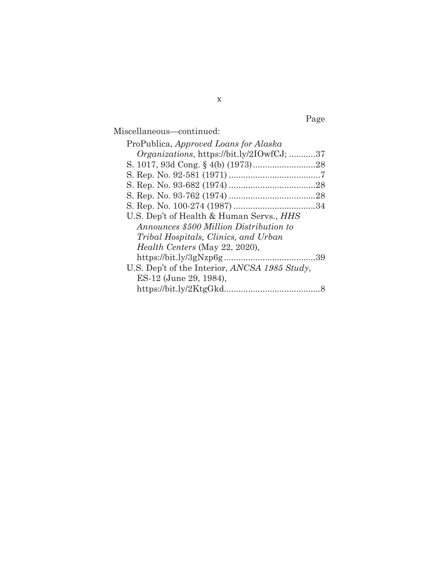Page

Miscellaneous—continued:

| ProPublica, Approved Loans for Alaska             |
|---------------------------------------------------|
| <i>Organizations</i> , https://bit.ly/2IOwfCJ; 37 |
|                                                   |
|                                                   |
|                                                   |
|                                                   |
|                                                   |
| U.S. Dep't of Health & Human Servs., HHS          |
| Announces \$500 Million Distribution to           |
| Tribal Hospitals, Clinics, and Urban              |
| <i>Health Centers</i> (May 22, 2020),             |
|                                                   |
| U.S. Dep't of the Interior, ANCSA 1985 Study,     |
| ES-12 (June 29, 1984),                            |
|                                                   |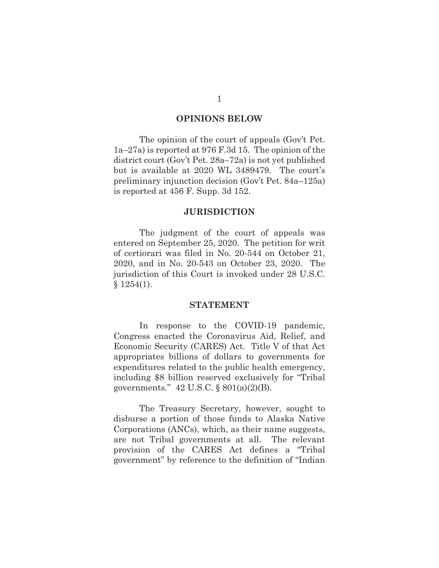#### **OPINIONS BELOW**

The opinion of the court of appeals (Gov't Pet. 1a–27a) is reported at 976 F.3d 15. The opinion of the district court (Gov't Pet. 28a–72a) is not yet published but is available at 2020 WL 3489479. The court's preliminary injunction decision (Gov't Pet. 84a–125a) is reported at 456 F. Supp. 3d 152.

#### **JURISDICTION**

The judgment of the court of appeals was entered on September 25, 2020. The petition for writ of certiorari was filed in No. 20-544 on October 21, 2020, and in No. 20-543 on October 23, 2020. The jurisdiction of this Court is invoked under 28 U.S.C.  $$1254(1).$ 

#### **STATEMENT**

 In response to the COVID-19 pandemic, Congress enacted the Coronavirus Aid, Relief, and Economic Security (CARES) Act. Title V of that Act appropriates billions of dollars to governments for expenditures related to the public health emergency, including \$8 billion reserved exclusively for "Tribal governments."  $42 \text{ U.S.C.}$   $\&$   $801(a)(2)(B)$ .

The Treasury Secretary, however, sought to disburse a portion of those funds to Alaska Native Corporations (ANCs), which, as their name suggests, are not Tribal governments at all. The relevant provision of the CARES Act defines a "Tribal government" by reference to the definition of "Indian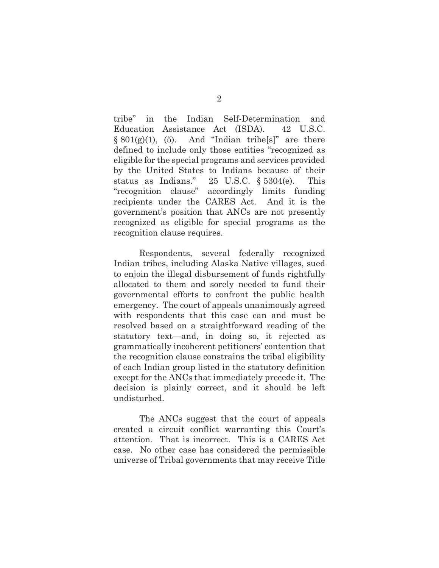tribe" in the Indian Self-Determination and Education Assistance Act (ISDA). 42 U.S.C.  $§ 801(g)(1), (5).$  And "Indian tribe[s]" are there defined to include only those entities "recognized as eligible for the special programs and services provided by the United States to Indians because of their status as Indians." 25 U.S.C. § 5304(e). This "recognition clause" accordingly limits funding recipients under the CARES Act. And it is the government's position that ANCs are not presently recognized as eligible for special programs as the recognition clause requires.

Respondents, several federally recognized Indian tribes, including Alaska Native villages, sued to enjoin the illegal disbursement of funds rightfully allocated to them and sorely needed to fund their governmental efforts to confront the public health emergency. The court of appeals unanimously agreed with respondents that this case can and must be resolved based on a straightforward reading of the statutory text—and, in doing so, it rejected as grammatically incoherent petitioners' contention that the recognition clause constrains the tribal eligibility of each Indian group listed in the statutory definition except for the ANCs that immediately precede it. The decision is plainly correct, and it should be left undisturbed.

 The ANCs suggest that the court of appeals created a circuit conflict warranting this Court's attention. That is incorrect. This is a CARES Act case. No other case has considered the permissible universe of Tribal governments that may receive Title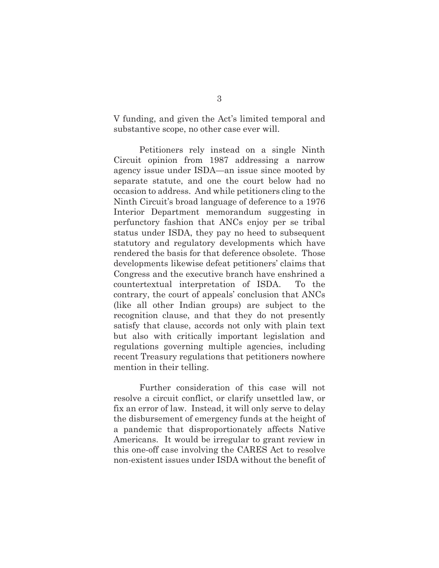V funding, and given the Act's limited temporal and substantive scope, no other case ever will.

Petitioners rely instead on a single Ninth Circuit opinion from 1987 addressing a narrow agency issue under ISDA—an issue since mooted by separate statute, and one the court below had no occasion to address. And while petitioners cling to the Ninth Circuit's broad language of deference to a 1976 Interior Department memorandum suggesting in perfunctory fashion that ANCs enjoy per se tribal status under ISDA, they pay no heed to subsequent statutory and regulatory developments which have rendered the basis for that deference obsolete. Those developments likewise defeat petitioners' claims that Congress and the executive branch have enshrined a countertextual interpretation of ISDA. To the contrary, the court of appeals' conclusion that ANCs (like all other Indian groups) are subject to the recognition clause, and that they do not presently satisfy that clause, accords not only with plain text but also with critically important legislation and regulations governing multiple agencies, including recent Treasury regulations that petitioners nowhere mention in their telling.

Further consideration of this case will not resolve a circuit conflict, or clarify unsettled law, or fix an error of law. Instead, it will only serve to delay the disbursement of emergency funds at the height of a pandemic that disproportionately affects Native Americans. It would be irregular to grant review in this one-off case involving the CARES Act to resolve non-existent issues under ISDA without the benefit of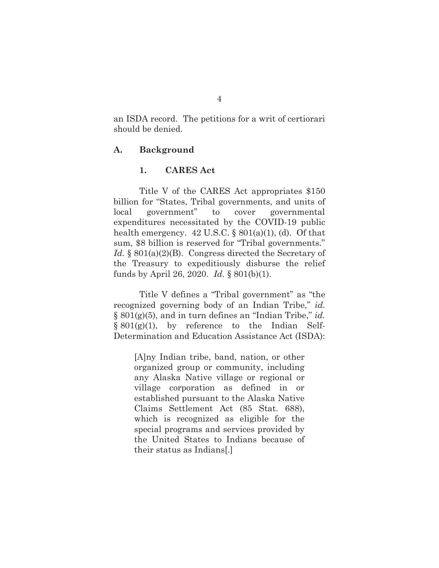an ISDA record. The petitions for a writ of certiorari should be denied.

#### **A. Background**

#### **1. CARES Act**

Title V of the CARES Act appropriates \$150 billion for "States, Tribal governments, and units of local government" to cover governmental expenditures necessitated by the COVID-19 public health emergency.  $42 \text{ U.S.C.}$  §  $801(a)(1)$ , (d). Of that sum, \$8 billion is reserved for "Tribal governments." *Id.* § 801(a)(2)(B). Congress directed the Secretary of the Treasury to expeditiously disburse the relief funds by April 26, 2020. *Id.* § 801(b)(1).

Title V defines a "Tribal government" as "the recognized governing body of an Indian Tribe," *id.* § 801(g)(5), and in turn defines an "Indian Tribe," *id.*  $§ 801(g)(1)$ , by reference to the Indian Self-Determination and Education Assistance Act (ISDA):

[A]ny Indian tribe, band, nation, or other organized group or community, including any Alaska Native village or regional or village corporation as defined in or established pursuant to the Alaska Native Claims Settlement Act (85 Stat. 688), which is recognized as eligible for the special programs and services provided by the United States to Indians because of their status as Indians[.]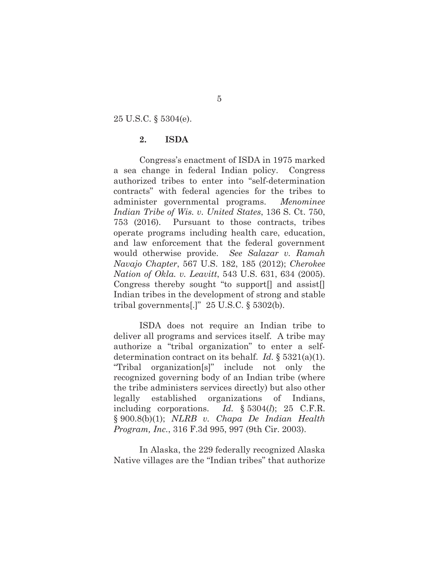25 U.S.C. § 5304(e).

#### **2. ISDA**

 Congress's enactment of ISDA in 1975 marked a sea change in federal Indian policy. Congress authorized tribes to enter into "self-determination contracts" with federal agencies for the tribes to administer governmental programs. *Menominee Indian Tribe of Wis. v. United States*, 136 S. Ct. 750, 753 (2016). Pursuant to those contracts, tribes operate programs including health care, education, and law enforcement that the federal government would otherwise provide. *See Salazar v. Ramah Navajo Chapter*, 567 U.S. 182, 185 (2012); *Cherokee Nation of Okla. v. Leavitt*, 543 U.S. 631, 634 (2005). Congress thereby sought "to support[] and assist[] Indian tribes in the development of strong and stable tribal governments[.]" 25 U.S.C. § 5302(b).

ISDA does not require an Indian tribe to deliver all programs and services itself. A tribe may authorize a "tribal organization" to enter a selfdetermination contract on its behalf. *Id.* § 5321(a)(1). "Tribal organization[s]" include not only the recognized governing body of an Indian tribe (where the tribe administers services directly) but also other legally established organizations of Indians, including corporations. *Id.* § 5304(*l*); 25 C.F.R. § 900.8(b)(1); *NLRB v. Chapa De Indian Health Program, Inc.*, 316 F.3d 995, 997 (9th Cir. 2003).

 In Alaska, the 229 federally recognized Alaska Native villages are the "Indian tribes" that authorize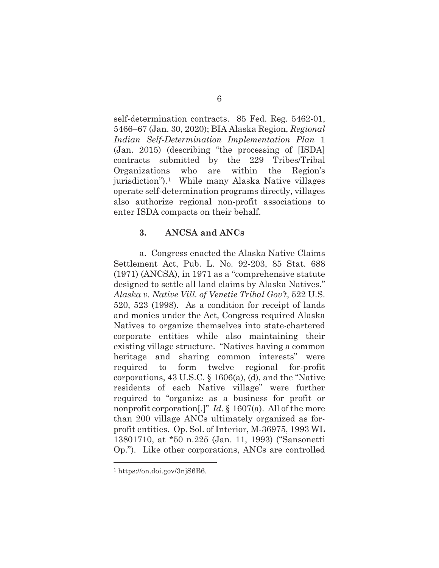self-determination contracts. 85 Fed. Reg. 5462-01, 5466–67 (Jan. 30, 2020); BIA Alaska Region, *Regional Indian Self-Determination Implementation Plan* 1 (Jan. 2015) (describing "the processing of [ISDA] contracts submitted by the 229 Tribes/Tribal Organizations who are within the Region's jurisdiction").1 While many Alaska Native villages operate self-determination programs directly, villages also authorize regional non-profit associations to enter ISDA compacts on their behalf.

### **3. ANCSA and ANCs**

a. Congress enacted the Alaska Native Claims Settlement Act, Pub. L. No. 92-203, 85 Stat. 688 (1971) (ANCSA), in 1971 as a "comprehensive statute designed to settle all land claims by Alaska Natives." *Alaska v. Native Vill. of Venetie Tribal Gov't*, 522 U.S. 520, 523 (1998). As a condition for receipt of lands and monies under the Act, Congress required Alaska Natives to organize themselves into state-chartered corporate entities while also maintaining their existing village structure. "Natives having a common heritage and sharing common interests" were required to form twelve regional for-profit corporations, 43 U.S.C. § 1606(a), (d), and the "Native residents of each Native village" were further required to "organize as a business for profit or nonprofit corporation[.]" *Id.* § 1607(a). All of the more than 200 village ANCs ultimately organized as forprofit entities. Op. Sol. of Interior, M-36975, 1993 WL 13801710, at \*50 n.225 (Jan. 11, 1993) ("Sansonetti Op."). Like other corporations, ANCs are controlled

<sup>1</sup> https://on.doi.gov/3njS6B6.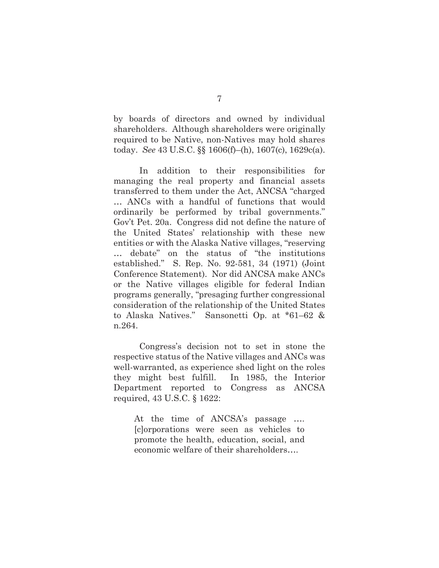by boards of directors and owned by individual shareholders. Although shareholders were originally required to be Native, non-Natives may hold shares today. *See* 43 U.S.C. §§ 1606(f)–(h), 1607(c), 1629c(a).

In addition to their responsibilities for managing the real property and financial assets transferred to them under the Act, ANCSA "charged … ANCs with a handful of functions that would ordinarily be performed by tribal governments." Gov't Pet. 20a. Congress did not define the nature of the United States' relationship with these new entities or with the Alaska Native villages, "reserving … debate" on the status of "the institutions established." S. Rep. No. 92-581, 34 (1971) (Joint Conference Statement). Nor did ANCSA make ANCs or the Native villages eligible for federal Indian programs generally, "presaging further congressional consideration of the relationship of the United States to Alaska Natives." Sansonetti Op. at \*61–62 & n.264.

Congress's decision not to set in stone the respective status of the Native villages and ANCs was well-warranted, as experience shed light on the roles they might best fulfill. In 1985, the Interior Department reported to Congress as ANCSA required, 43 U.S.C. § 1622:

At the time of ANCSA's passage …. [c]orporations were seen as vehicles to promote the health, education, social, and economic welfare of their shareholders….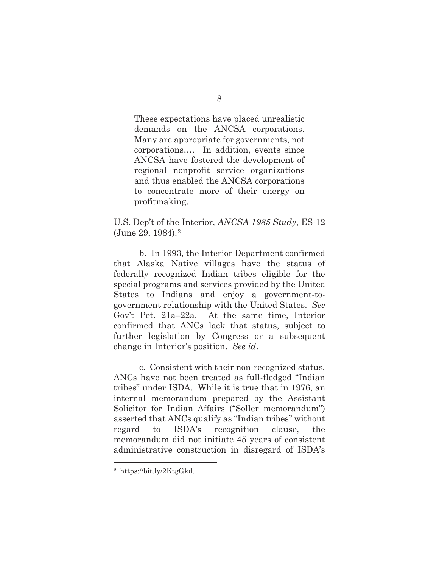These expectations have placed unrealistic demands on the ANCSA corporations. Many are appropriate for governments, not corporations…. In addition, events since ANCSA have fostered the development of regional nonprofit service organizations and thus enabled the ANCSA corporations to concentrate more of their energy on profitmaking.

U.S. Dep't of the Interior, *ANCSA 1985 Study*, ES-12 (June 29, 1984).2

b. In 1993, the Interior Department confirmed that Alaska Native villages have the status of federally recognized Indian tribes eligible for the special programs and services provided by the United States to Indians and enjoy a government-togovernment relationship with the United States. *See* Gov't Pet. 21a–22a. At the same time, Interior confirmed that ANCs lack that status, subject to further legislation by Congress or a subsequent change in Interior's position. *See id*.

c. Consistent with their non-recognized status, ANCs have not been treated as full-fledged "Indian tribes" under ISDA. While it is true that in 1976, an internal memorandum prepared by the Assistant Solicitor for Indian Affairs ("Soller memorandum") asserted that ANCs qualify as "Indian tribes" without regard to ISDA's recognition clause, the memorandum did not initiate 45 years of consistent administrative construction in disregard of ISDA's

<sup>2</sup> https://bit.ly/2KtgGkd.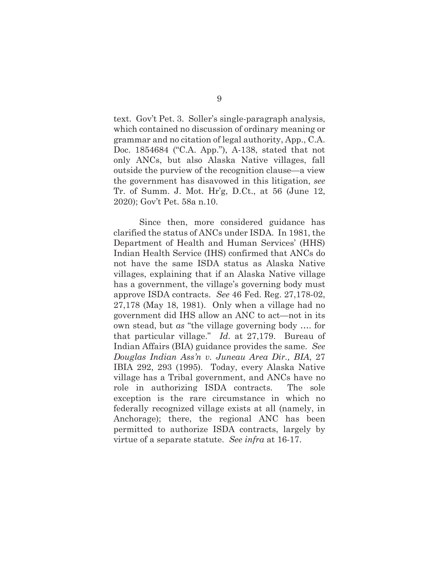text. Gov't Pet. 3. Soller's single-paragraph analysis, which contained no discussion of ordinary meaning or grammar and no citation of legal authority, App., C.A. Doc. 1854684 ("C.A. App."), A-138, stated that not only ANCs, but also Alaska Native villages, fall outside the purview of the recognition clause—a view the government has disavowed in this litigation, *see* Tr. of Summ. J. Mot. Hr'g, D.Ct., at 56 (June 12, 2020); Gov't Pet. 58a n.10.

Since then, more considered guidance has clarified the status of ANCs under ISDA. In 1981, the Department of Health and Human Services' (HHS) Indian Health Service (IHS) confirmed that ANCs do not have the same ISDA status as Alaska Native villages, explaining that if an Alaska Native village has a government, the village's governing body must approve ISDA contracts. *See* 46 Fed. Reg. 27,178-02, 27,178 (May 18, 1981). Only when a village had no government did IHS allow an ANC to act—not in its own stead, but *as* "the village governing body …. for that particular village." *Id*. at 27,179. Bureau of Indian Affairs (BIA) guidance provides the same. *See Douglas Indian Ass'n v. Juneau Area Dir., BIA*, 27 IBIA 292, 293 (1995). Today, every Alaska Native village has a Tribal government, and ANCs have no role in authorizing ISDA contracts. The sole exception is the rare circumstance in which no federally recognized village exists at all (namely, in Anchorage); there, the regional ANC has been permitted to authorize ISDA contracts, largely by virtue of a separate statute. *See infra* at 16-17.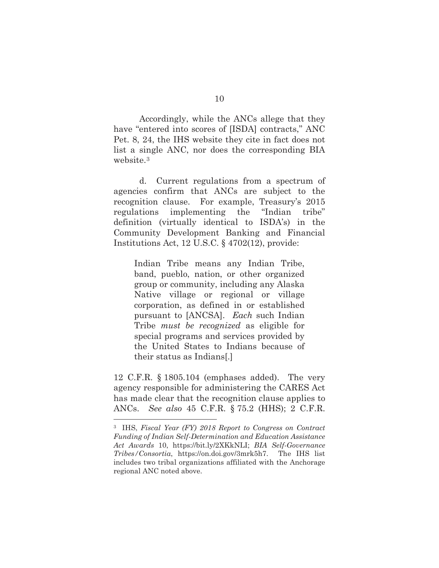Accordingly, while the ANCs allege that they have "entered into scores of [ISDA] contracts," ANC Pet. 8, 24, the IHS website they cite in fact does not list a single ANC, nor does the corresponding BIA website.3

d. Current regulations from a spectrum of agencies confirm that ANCs are subject to the recognition clause. For example, Treasury's 2015 regulations implementing the "Indian tribe" definition (virtually identical to ISDA's) in the Community Development Banking and Financial Institutions Act, 12 U.S.C. § 4702(12), provide:

Indian Tribe means any Indian Tribe, band, pueblo, nation, or other organized group or community, including any Alaska Native village or regional or village corporation, as defined in or established pursuant to [ANCSA]. *Each* such Indian Tribe *must be recognized* as eligible for special programs and services provided by the United States to Indians because of their status as Indians[.]

12 C.F.R. § 1805.104 (emphases added). The very agency responsible for administering the CARES Act has made clear that the recognition clause applies to ANCs. *See also* 45 C.F.R. § 75.2 (HHS); 2 C.F.R.

<sup>3</sup> IHS, *Fiscal Year (FY) 2018 Report to Congress on Contract Funding of Indian Self-Determination and Education Assistance Act Awards* 10, https://bit.ly/2XKkNLI; *BIA Self-Governance Tribes/Consortia*, https://on.doi.gov/3mrk5h7. The IHS list includes two tribal organizations affiliated with the Anchorage regional ANC noted above.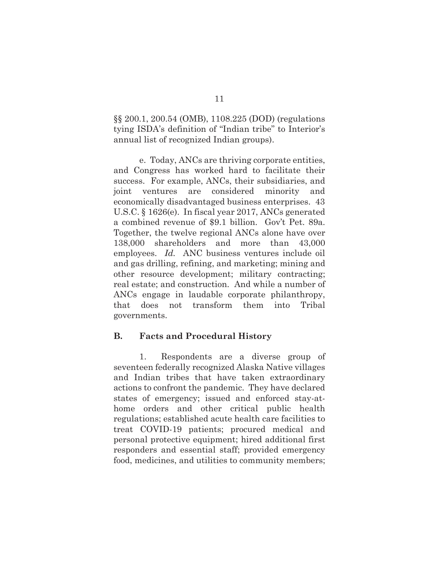§§ 200.1, 200.54 (OMB), 1108.225 (DOD) (regulations tying ISDA's definition of "Indian tribe" to Interior's annual list of recognized Indian groups).

e. Today, ANCs are thriving corporate entities, and Congress has worked hard to facilitate their success. For example, ANCs, their subsidiaries, and joint ventures are considered minority and economically disadvantaged business enterprises. 43 U.S.C. § 1626(e). In fiscal year 2017, ANCs generated a combined revenue of \$9.1 billion. Gov't Pet. 89a. Together, the twelve regional ANCs alone have over 138,000 shareholders and more than 43,000 employees. *Id.* ANC business ventures include oil and gas drilling, refining, and marketing; mining and other resource development; military contracting; real estate; and construction. And while a number of ANCs engage in laudable corporate philanthropy, that does not transform them into Tribal governments.

## **B. Facts and Procedural History**

1. Respondents are a diverse group of seventeen federally recognized Alaska Native villages and Indian tribes that have taken extraordinary actions to confront the pandemic. They have declared states of emergency; issued and enforced stay-athome orders and other critical public health regulations; established acute health care facilities to treat COVID-19 patients; procured medical and personal protective equipment; hired additional first responders and essential staff; provided emergency food, medicines, and utilities to community members;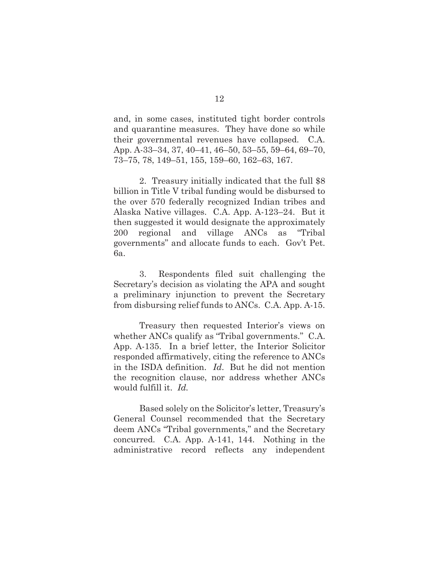and, in some cases, instituted tight border controls and quarantine measures. They have done so while their governmental revenues have collapsed. C.A. App. A-33–34, 37, 40–41, 46–50, 53–55, 59–64, 69–70, 73–75, 78, 149–51, 155, 159–60, 162–63, 167.

2. Treasury initially indicated that the full \$8 billion in Title V tribal funding would be disbursed to the over 570 federally recognized Indian tribes and Alaska Native villages. C.A. App. A-123–24. But it then suggested it would designate the approximately 200 regional and village ANCs as "Tribal governments" and allocate funds to each. Gov't Pet. 6a.

3. Respondents filed suit challenging the Secretary's decision as violating the APA and sought a preliminary injunction to prevent the Secretary from disbursing relief funds to ANCs. C.A. App. A-15.

Treasury then requested Interior's views on whether ANCs qualify as "Tribal governments." C.A. App. A-135. In a brief letter, the Interior Solicitor responded affirmatively, citing the reference to ANCs in the ISDA definition. *Id*. But he did not mention the recognition clause, nor address whether ANCs would fulfill it. *Id.*

Based solely on the Solicitor's letter, Treasury's General Counsel recommended that the Secretary deem ANCs "Tribal governments," and the Secretary concurred. C.A. App. A-141, 144. Nothing in the administrative record reflects any independent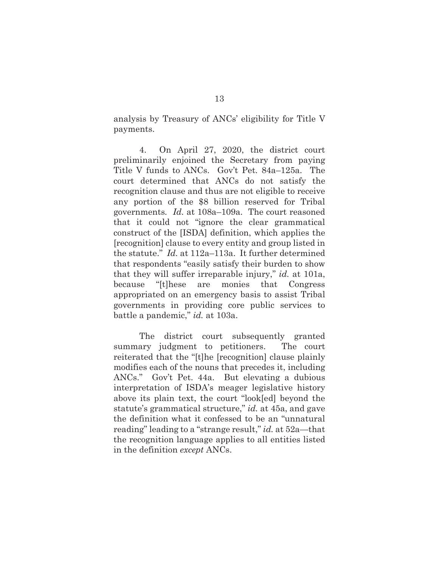analysis by Treasury of ANCs' eligibility for Title V payments.

4. On April 27, 2020, the district court preliminarily enjoined the Secretary from paying Title V funds to ANCs. Gov't Pet. 84a–125a. The court determined that ANCs do not satisfy the recognition clause and thus are not eligible to receive any portion of the \$8 billion reserved for Tribal governments*. Id.* at 108a–109a. The court reasoned that it could not "ignore the clear grammatical construct of the [ISDA] definition, which applies the [recognition] clause to every entity and group listed in the statute." *Id.* at 112a–113a. It further determined that respondents "easily satisfy their burden to show that they will suffer irreparable injury," *id.* at 101a, because "[t]hese are monies that Congress appropriated on an emergency basis to assist Tribal governments in providing core public services to battle a pandemic," *id.* at 103a.

The district court subsequently granted summary judgment to petitioners. The court reiterated that the "[t]he [recognition] clause plainly modifies each of the nouns that precedes it, including ANCs." Gov't Pet. 44a. But elevating a dubious interpretation of ISDA's meager legislative history above its plain text, the court "look[ed] beyond the statute's grammatical structure," *id.* at 45a, and gave the definition what it confessed to be an "unnatural reading" leading to a "strange result," *id.* at 52a—that the recognition language applies to all entities listed in the definition *except* ANCs.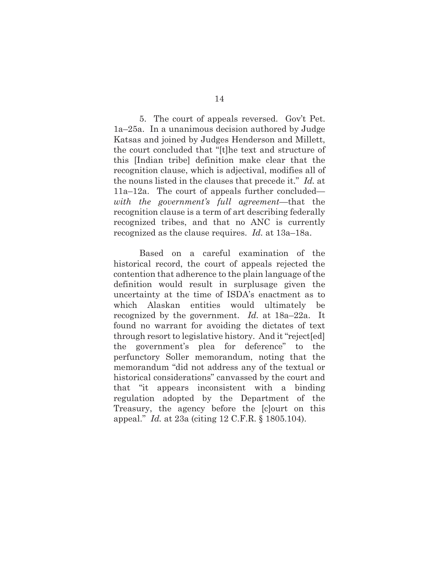5. The court of appeals reversed. Gov't Pet. 1a–25a. In a unanimous decision authored by Judge Katsas and joined by Judges Henderson and Millett, the court concluded that "[t]he text and structure of this [Indian tribe] definition make clear that the recognition clause, which is adjectival, modifies all of the nouns listed in the clauses that precede it." *Id.* at 11a–12a.The court of appeals further concluded *with the government's full agreement*—that the recognition clause is a term of art describing federally recognized tribes, and that no ANC is currently recognized as the clause requires. *Id.* at 13a–18a.

Based on a careful examination of the historical record, the court of appeals rejected the contention that adherence to the plain language of the definition would result in surplusage given the uncertainty at the time of ISDA's enactment as to which Alaskan entities would ultimately be recognized by the government. *Id.* at 18a–22a. It found no warrant for avoiding the dictates of text through resort to legislative history. And it "reject[ed] the government's plea for deference" to the perfunctory Soller memorandum, noting that the memorandum "did not address any of the textual or historical considerations" canvassed by the court and that "it appears inconsistent with a binding regulation adopted by the Department of the Treasury, the agency before the [c]ourt on this appeal." *Id.* at 23a (citing 12 C.F.R. § 1805.104).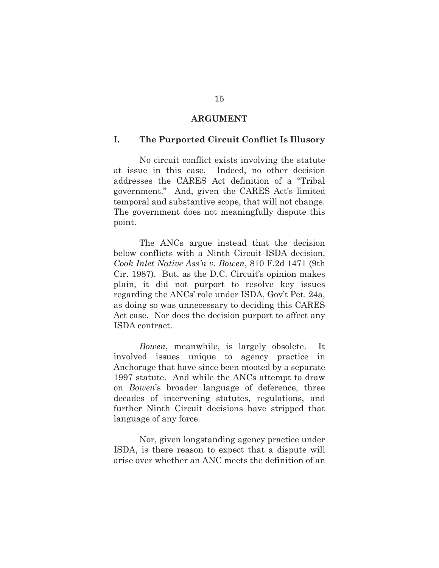#### **ARGUMENT**

#### **I. The Purported Circuit Conflict Is Illusory**

No circuit conflict exists involving the statute at issue in this case. Indeed, no other decision addresses the CARES Act definition of a "Tribal government." And, given the CARES Act's limited temporal and substantive scope, that will not change. The government does not meaningfully dispute this point.

The ANCs argue instead that the decision below conflicts with a Ninth Circuit ISDA decision, *Cook Inlet Native Ass'n v. Bowen*, 810 F.2d 1471 (9th Cir. 1987). But, as the D.C. Circuit's opinion makes plain, it did not purport to resolve key issues regarding the ANCs' role under ISDA, Gov't Pet. 24a, as doing so was unnecessary to deciding this CARES Act case. Nor does the decision purport to affect any ISDA contract.

*Bowen*, meanwhile, is largely obsolete. It involved issues unique to agency practice in Anchorage that have since been mooted by a separate 1997 statute. And while the ANCs attempt to draw on *Bowen*'s broader language of deference, three decades of intervening statutes, regulations, and further Ninth Circuit decisions have stripped that language of any force.

Nor, given longstanding agency practice under ISDA, is there reason to expect that a dispute will arise over whether an ANC meets the definition of an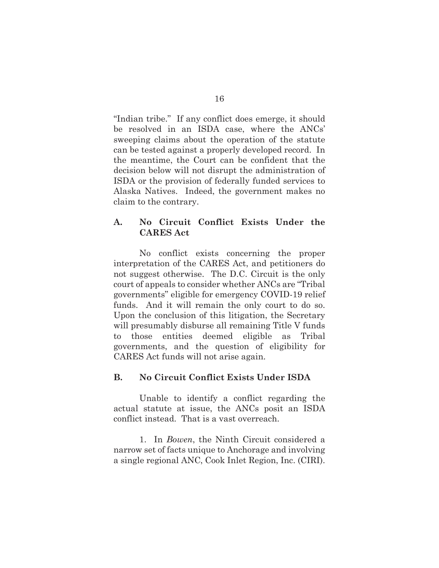"Indian tribe." If any conflict does emerge, it should be resolved in an ISDA case, where the ANCs' sweeping claims about the operation of the statute can be tested against a properly developed record. In the meantime, the Court can be confident that the decision below will not disrupt the administration of ISDA or the provision of federally funded services to Alaska Natives. Indeed, the government makes no claim to the contrary.

## **A. No Circuit Conflict Exists Under the CARES Act**

No conflict exists concerning the proper interpretation of the CARES Act, and petitioners do not suggest otherwise. The D.C. Circuit is the only court of appeals to consider whether ANCs are "Tribal governments" eligible for emergency COVID-19 relief funds. And it will remain the only court to do so. Upon the conclusion of this litigation, the Secretary will presumably disburse all remaining Title V funds to those entities deemed eligible as Tribal governments, and the question of eligibility for CARES Act funds will not arise again.

## **B. No Circuit Conflict Exists Under ISDA**

Unable to identify a conflict regarding the actual statute at issue, the ANCs posit an ISDA conflict instead. That is a vast overreach.

1. In *Bowen*, the Ninth Circuit considered a narrow set of facts unique to Anchorage and involving a single regional ANC, Cook Inlet Region, Inc. (CIRI).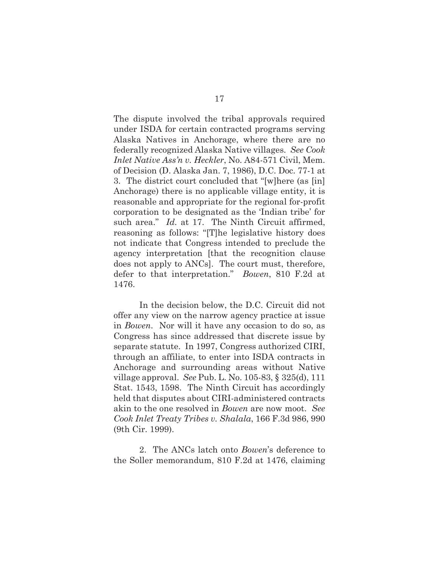The dispute involved the tribal approvals required under ISDA for certain contracted programs serving Alaska Natives in Anchorage, where there are no federally recognized Alaska Native villages. *See Cook Inlet Native Ass'n v. Heckler*, No. A84-571 Civil, Mem. of Decision (D. Alaska Jan. 7, 1986), D.C. Doc. 77-1 at 3. The district court concluded that "[w]here (as [in] Anchorage) there is no applicable village entity, it is reasonable and appropriate for the regional for-profit corporation to be designated as the 'Indian tribe' for such area." *Id.* at 17. The Ninth Circuit affirmed, reasoning as follows: "[T]he legislative history does not indicate that Congress intended to preclude the agency interpretation [that the recognition clause does not apply to ANCs]. The court must, therefore, defer to that interpretation." *Bowen*, 810 F.2d at 1476.

In the decision below, the D.C. Circuit did not offer any view on the narrow agency practice at issue in *Bowen*. Nor will it have any occasion to do so, as Congress has since addressed that discrete issue by separate statute. In 1997, Congress authorized CIRI, through an affiliate, to enter into ISDA contracts in Anchorage and surrounding areas without Native village approval. *See* Pub. L. No. 105-83, § 325(d), 111 Stat. 1543, 1598. The Ninth Circuit has accordingly held that disputes about CIRI-administered contracts akin to the one resolved in *Bowen* are now moot. *See Cook Inlet Treaty Tribes v. Shalala*, 166 F.3d 986, 990 (9th Cir. 1999).

2. The ANCs latch onto *Bowen*'s deference to the Soller memorandum, 810 F.2d at 1476, claiming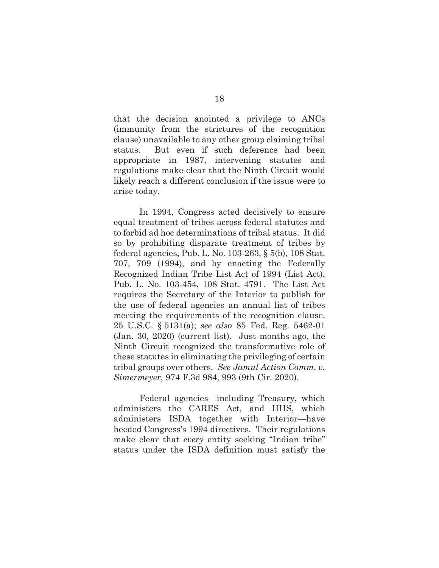that the decision anointed a privilege to ANCs (immunity from the strictures of the recognition clause) unavailable to any other group claiming tribal status. But even if such deference had been appropriate in 1987, intervening statutes and regulations make clear that the Ninth Circuit would likely reach a different conclusion if the issue were to arise today.

In 1994, Congress acted decisively to ensure equal treatment of tribes across federal statutes and to forbid ad hoc determinations of tribal status. It did so by prohibiting disparate treatment of tribes by federal agencies, Pub. L. No. 103-263, § 5(b), 108 Stat. 707, 709 (1994), and by enacting the Federally Recognized Indian Tribe List Act of 1994 (List Act), Pub. L. No. 103-454, 108 Stat. 4791. The List Act requires the Secretary of the Interior to publish for the use of federal agencies an annual list of tribes meeting the requirements of the recognition clause. 25 U.S.C. § 5131(a); *see also* 85 Fed. Reg. 5462-01 (Jan. 30, 2020) (current list). Just months ago, the Ninth Circuit recognized the transformative role of these statutes in eliminating the privileging of certain tribal groups over others. *See Jamul Action Comm. v. Simermeyer*, 974 F.3d 984, 993 (9th Cir. 2020).

Federal agencies—including Treasury, which administers the CARES Act, and HHS, which administers ISDA together with Interior—have heeded Congress's 1994 directives. Their regulations make clear that *every* entity seeking "Indian tribe" status under the ISDA definition must satisfy the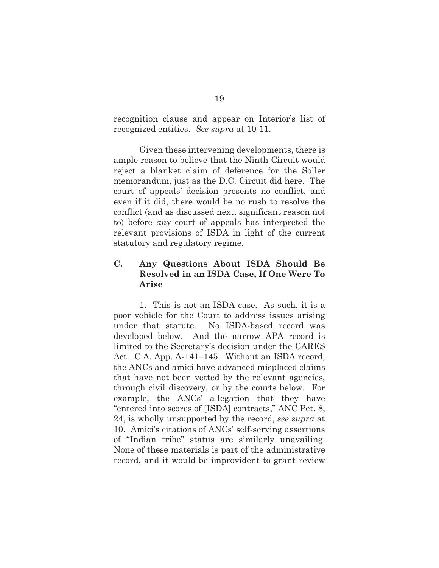recognition clause and appear on Interior's list of recognized entities. *See supra* at 10-11.

Given these intervening developments, there is ample reason to believe that the Ninth Circuit would reject a blanket claim of deference for the Soller memorandum, just as the D.C. Circuit did here. The court of appeals' decision presents no conflict, and even if it did, there would be no rush to resolve the conflict (and as discussed next, significant reason not to) before *any* court of appeals has interpreted the relevant provisions of ISDA in light of the current statutory and regulatory regime.

## **C. Any Questions About ISDA Should Be Resolved in an ISDA Case, If One Were To Arise**

1. This is not an ISDA case. As such, it is a poor vehicle for the Court to address issues arising under that statute. No ISDA-based record was developed below. And the narrow APA record is limited to the Secretary's decision under the CARES Act. C.A. App. A-141–145. Without an ISDA record, the ANCs and amici have advanced misplaced claims that have not been vetted by the relevant agencies, through civil discovery, or by the courts below. For example, the ANCs' allegation that they have "entered into scores of [ISDA] contracts," ANC Pet. 8, 24, is wholly unsupported by the record, *see supra* at 10. Amici's citations of ANCs' self-serving assertions of "Indian tribe" status are similarly unavailing. None of these materials is part of the administrative record, and it would be improvident to grant review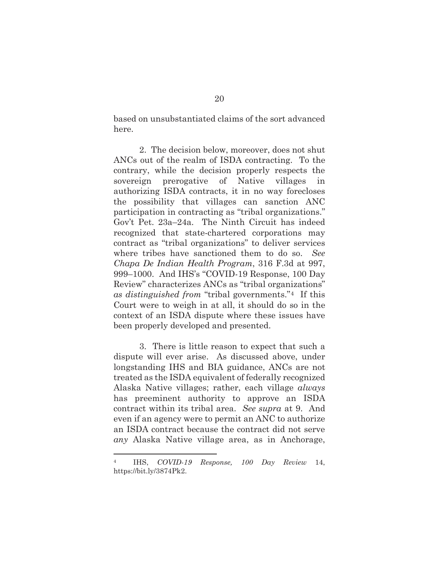based on unsubstantiated claims of the sort advanced here.

2. The decision below, moreover, does not shut ANCs out of the realm of ISDA contracting. To the contrary, while the decision properly respects the sovereign prerogative of Native villages in authorizing ISDA contracts, it in no way forecloses the possibility that villages can sanction ANC participation in contracting as "tribal organizations." Gov't Pet. 23a–24a. The Ninth Circuit has indeed recognized that state-chartered corporations may contract as "tribal organizations" to deliver services where tribes have sanctioned them to do so. *See Chapa De Indian Health Program*, 316 F.3d at 997, 999–1000. And IHS's "COVID-19 Response, 100 Day Review" characterizes ANCs as "tribal organizations" *as distinguished from* "tribal governments."4 If this Court were to weigh in at all, it should do so in the context of an ISDA dispute where these issues have been properly developed and presented.

3. There is little reason to expect that such a dispute will ever arise. As discussed above, under longstanding IHS and BIA guidance, ANCs are not treated as the ISDA equivalent of federally recognized Alaska Native villages; rather, each village *always* has preeminent authority to approve an ISDA contract within its tribal area. *See supra* at 9. And even if an agency were to permit an ANC to authorize an ISDA contract because the contract did not serve *any* Alaska Native village area, as in Anchorage,

<sup>4</sup> IHS, *COVID-19 Response, 100 Day Review* 14, https://bit.ly/3874Pk2.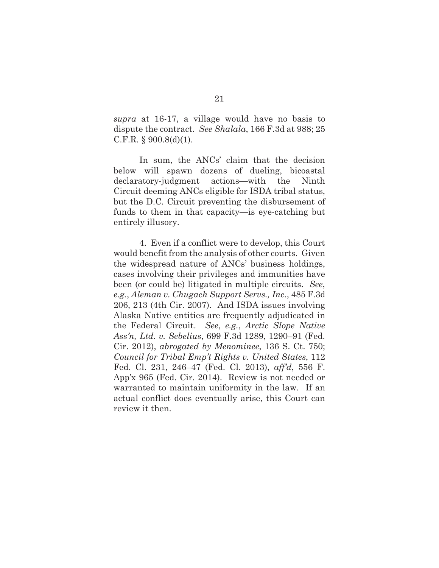*supra* at 16-17, a village would have no basis to dispute the contract. *See Shalala*, 166 F.3d at 988; 25 C.F.R.  $\S$  900.8(d)(1).

In sum, the ANCs' claim that the decision below will spawn dozens of dueling, bicoastal declaratory-judgment actions—with the Ninth Circuit deeming ANCs eligible for ISDA tribal status, but the D.C. Circuit preventing the disbursement of funds to them in that capacity—is eye-catching but entirely illusory.

4. Even if a conflict were to develop, this Court would benefit from the analysis of other courts. Given the widespread nature of ANCs' business holdings, cases involving their privileges and immunities have been (or could be) litigated in multiple circuits. *See*, *e.g.*, *Aleman v. Chugach Support Servs., Inc.*, 485 F.3d 206, 213 (4th Cir. 2007). And ISDA issues involving Alaska Native entities are frequently adjudicated in the Federal Circuit. *See*, *e.g.*, *Arctic Slope Native Ass'n, Ltd. v. Sebelius*, 699 F.3d 1289, 1290–91 (Fed. Cir. 2012), *abrogated by Menominee*, 136 S. Ct. 750; *Council for Tribal Emp't Rights v. United States*, 112 Fed. Cl. 231, 246–47 (Fed. Cl. 2013), *aff'd*, 556 F. App'x 965 (Fed. Cir. 2014). Review is not needed or warranted to maintain uniformity in the law. If an actual conflict does eventually arise, this Court can review it then.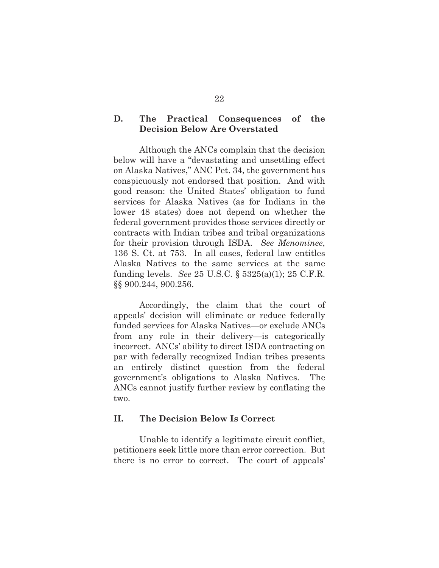## **D. The Practical Consequences of the Decision Below Are Overstated**

Although the ANCs complain that the decision below will have a "devastating and unsettling effect on Alaska Natives," ANC Pet. 34, the government has conspicuously not endorsed that position. And with good reason: the United States' obligation to fund services for Alaska Natives (as for Indians in the lower 48 states) does not depend on whether the federal government provides those services directly or contracts with Indian tribes and tribal organizations for their provision through ISDA. *See Menominee*, 136 S. Ct. at 753. In all cases, federal law entitles Alaska Natives to the same services at the same funding levels. *See* 25 U.S.C. § 5325(a)(1); 25 C.F.R. §§ 900.244, 900.256.

Accordingly, the claim that the court of appeals' decision will eliminate or reduce federally funded services for Alaska Natives—or exclude ANCs from any role in their delivery—is categorically incorrect. ANCs' ability to direct ISDA contracting on par with federally recognized Indian tribes presents an entirely distinct question from the federal government's obligations to Alaska Natives. The ANCs cannot justify further review by conflating the two.

#### **II. The Decision Below Is Correct**

Unable to identify a legitimate circuit conflict, petitioners seek little more than error correction. But there is no error to correct. The court of appeals'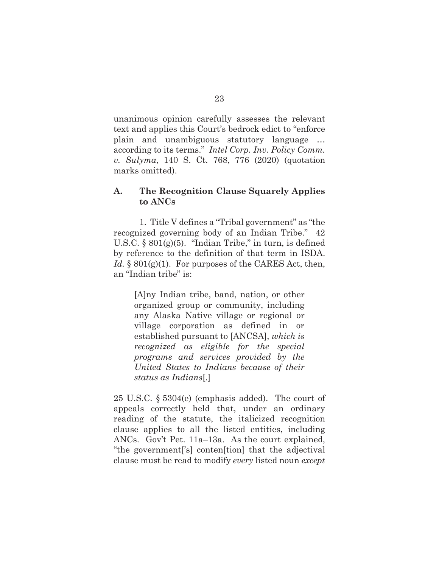unanimous opinion carefully assesses the relevant text and applies this Court's bedrock edict to "enforce plain and unambiguous statutory language … according to its terms." *Intel Corp. Inv. Policy Comm. v. Sulyma*, 140 S. Ct. 768, 776 (2020) (quotation marks omitted).

#### **A. The Recognition Clause Squarely Applies to ANCs**

1. Title V defines a "Tribal government" as "the recognized governing body of an Indian Tribe." 42 U.S.C.  $\S 801(g)(5)$ . "Indian Tribe," in turn, is defined by reference to the definition of that term in ISDA. *Id.* § 801(g)(1). For purposes of the CARES Act, then, an "Indian tribe" is:

[A]ny Indian tribe, band, nation, or other organized group or community, including any Alaska Native village or regional or village corporation as defined in or established pursuant to [ANCSA], *which is recognized as eligible for the special programs and services provided by the United States to Indians because of their status as Indians*[.]

25 U.S.C. § 5304(e) (emphasis added). The court of appeals correctly held that, under an ordinary reading of the statute, the italicized recognition clause applies to all the listed entities, including ANCs. Gov't Pet. 11a–13a. As the court explained, "the government['s] conten[tion] that the adjectival clause must be read to modify *every* listed noun *except*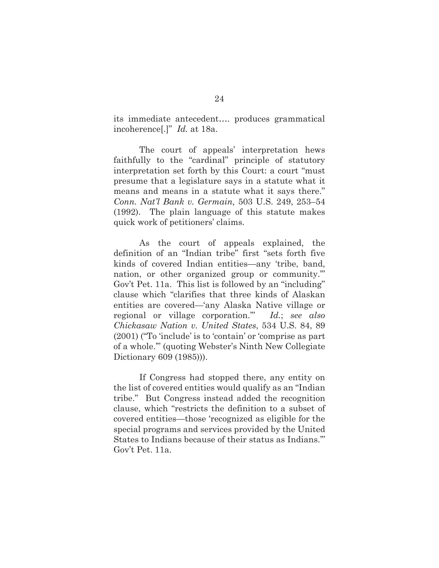its immediate antecedent…. produces grammatical incoherence[.]" *Id.* at 18a.

The court of appeals' interpretation hews faithfully to the "cardinal" principle of statutory interpretation set forth by this Court: a court "must presume that a legislature says in a statute what it means and means in a statute what it says there." *Conn. Nat'l Bank v. Germain,* 503 U.S. 249, 253–54 (1992). The plain language of this statute makes quick work of petitioners' claims.

As the court of appeals explained, the definition of an "Indian tribe" first "sets forth five kinds of covered Indian entities—any 'tribe, band, nation, or other organized group or community.'" Gov't Pet. 11a. This list is followed by an "including" clause which "clarifies that three kinds of Alaskan entities are covered—'any Alaska Native village or regional or village corporation.'" *Id.*; *see also Chickasaw Nation v. United States*, 534 U.S. 84, 89 (2001) ("To 'include' is to 'contain' or 'comprise as part of a whole.'" (quoting Webster's Ninth New Collegiate Dictionary 609 (1985))).

If Congress had stopped there, any entity on the list of covered entities would qualify as an "Indian tribe." But Congress instead added the recognition clause, which "restricts the definition to a subset of covered entities—those 'recognized as eligible for the special programs and services provided by the United States to Indians because of their status as Indians.'" Gov't Pet. 11a.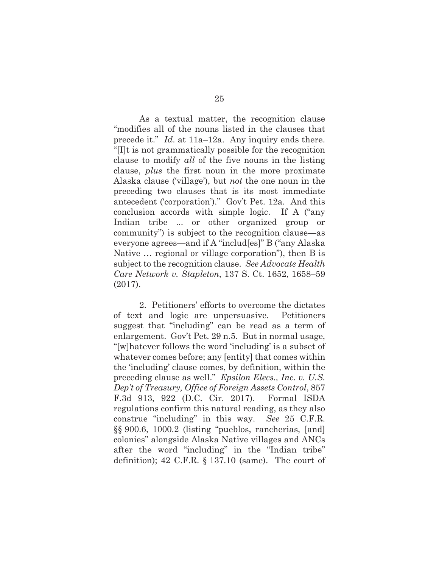As a textual matter, the recognition clause "modifies all of the nouns listed in the clauses that precede it." *Id*. at 11a–12a. Any inquiry ends there. "[I]t is not grammatically possible for the recognition clause to modify *all* of the five nouns in the listing clause, *plus* the first noun in the more proximate Alaska clause ('village'), but *not* the one noun in the preceding two clauses that is its most immediate antecedent ('corporation')." Gov't Pet. 12a. And this conclusion accords with simple logic. If A ("any Indian tribe ... or other organized group or community") is subject to the recognition clause—as everyone agrees—and if A "includ[es]" B ("any Alaska Native … regional or village corporation"), then B is subject to the recognition clause. *See Advocate Health Care Network v. Stapleton*, 137 S. Ct. 1652, 1658–59 (2017).

 2. Petitioners' efforts to overcome the dictates of text and logic are unpersuasive. Petitioners suggest that "including" can be read as a term of enlargement. Gov't Pet. 29 n.5. But in normal usage, "[w]hatever follows the word 'including' is a subset of whatever comes before; any [entity] that comes within the 'including' clause comes, by definition, within the preceding clause as well." *Epsilon Elecs., Inc. v. U.S. Dep't of Treasury, Office of Foreign Assets Control*, 857 F.3d 913, 922 (D.C. Cir. 2017). Formal ISDA regulations confirm this natural reading, as they also construe "including" in this way. *See* 25 C.F.R. §§ 900.6, 1000.2 (listing "pueblos, rancherias, [and] colonies" alongside Alaska Native villages and ANCs after the word "including" in the "Indian tribe" definition); 42 C.F.R. § 137.10 (same). The court of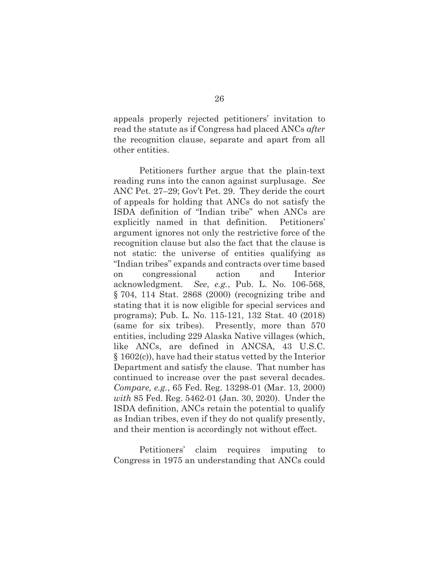appeals properly rejected petitioners' invitation to read the statute as if Congress had placed ANCs *after* the recognition clause, separate and apart from all other entities.

Petitioners further argue that the plain-text reading runs into the canon against surplusage. *See* ANC Pet. 27–29; Gov't Pet. 29. They deride the court of appeals for holding that ANCs do not satisfy the ISDA definition of "Indian tribe" when ANCs are explicitly named in that definition. Petitioners' argument ignores not only the restrictive force of the recognition clause but also the fact that the clause is not static: the universe of entities qualifying as "Indian tribes" expands and contracts over time based on congressional action and Interior acknowledgment. *See*, *e.g.*, Pub. L. No. 106-568, § 704, 114 Stat. 2868 (2000) (recognizing tribe and stating that it is now eligible for special services and programs); Pub. L. No. 115-121, 132 Stat. 40 (2018) (same for six tribes). Presently, more than 570 entities, including 229 Alaska Native villages (which, like ANCs, are defined in ANCSA, 43 U.S.C. § 1602(c)), have had their status vetted by the Interior Department and satisfy the clause. That number has continued to increase over the past several decades. *Compare, e.g.*, 65 Fed. Reg. 13298-01 (Mar. 13, 2000) *with* 85 Fed. Reg. 5462-01 (Jan. 30, 2020). Under the ISDA definition, ANCs retain the potential to qualify as Indian tribes, even if they do not qualify presently, and their mention is accordingly not without effect.

Petitioners' claim requires imputing to Congress in 1975 an understanding that ANCs could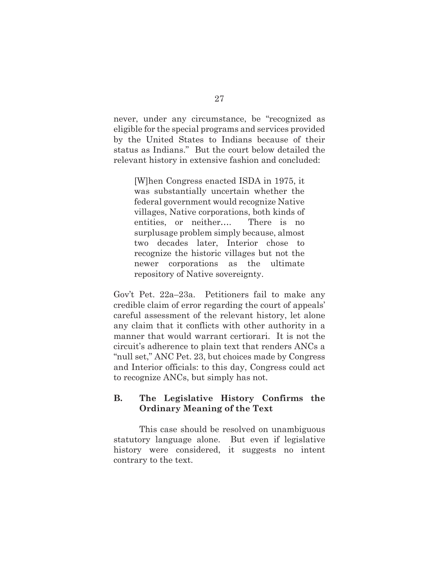never, under any circumstance, be "recognized as eligible for the special programs and services provided by the United States to Indians because of their status as Indians." But the court below detailed the relevant history in extensive fashion and concluded:

[W]hen Congress enacted ISDA in 1975, it was substantially uncertain whether the federal government would recognize Native villages, Native corporations, both kinds of entities, or neither…. There is no surplusage problem simply because, almost two decades later, Interior chose to recognize the historic villages but not the newer corporations as the ultimate repository of Native sovereignty.

Gov't Pet. 22a–23a. Petitioners fail to make any credible claim of error regarding the court of appeals' careful assessment of the relevant history, let alone any claim that it conflicts with other authority in a manner that would warrant certiorari. It is not the circuit's adherence to plain text that renders ANCs a "null set," ANC Pet. 23, but choices made by Congress and Interior officials: to this day, Congress could act to recognize ANCs, but simply has not.

## **B. The Legislative History Confirms the Ordinary Meaning of the Text**

This case should be resolved on unambiguous statutory language alone. But even if legislative history were considered, it suggests no intent contrary to the text.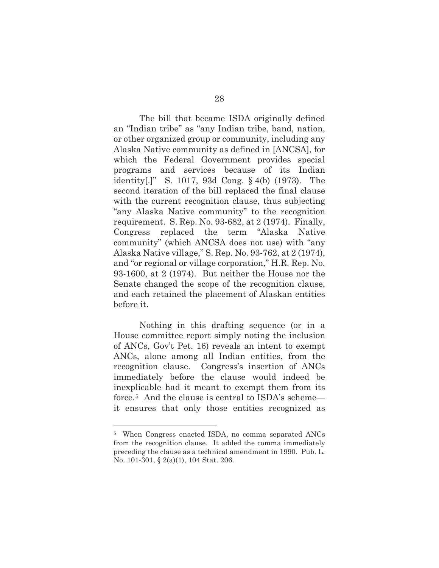The bill that became ISDA originally defined an "Indian tribe" as "any Indian tribe, band, nation, or other organized group or community, including any Alaska Native community as defined in [ANCSA], for which the Federal Government provides special programs and services because of its Indian identity[.]" S. 1017, 93d Cong. § 4(b) (1973). The second iteration of the bill replaced the final clause with the current recognition clause, thus subjecting "any Alaska Native community" to the recognition requirement. S. Rep. No. 93-682, at 2 (1974). Finally, Congress replaced the term "Alaska Native community" (which ANCSA does not use) with "any Alaska Native village," S. Rep. No. 93-762, at 2 (1974), and "or regional or village corporation," H.R. Rep. No. 93-1600, at 2 (1974). But neither the House nor the Senate changed the scope of the recognition clause, and each retained the placement of Alaskan entities before it.

Nothing in this drafting sequence (or in a House committee report simply noting the inclusion of ANCs, Gov't Pet. 16) reveals an intent to exempt ANCs, alone among all Indian entities, from the recognition clause. Congress's insertion of ANCs immediately before the clause would indeed be inexplicable had it meant to exempt them from its force.5 And the clause is central to ISDA's scheme it ensures that only those entities recognized as

<sup>5</sup> When Congress enacted ISDA, no comma separated ANCs from the recognition clause. It added the comma immediately preceding the clause as a technical amendment in 1990. Pub. L. No. 101-301, § 2(a)(1), 104 Stat. 206.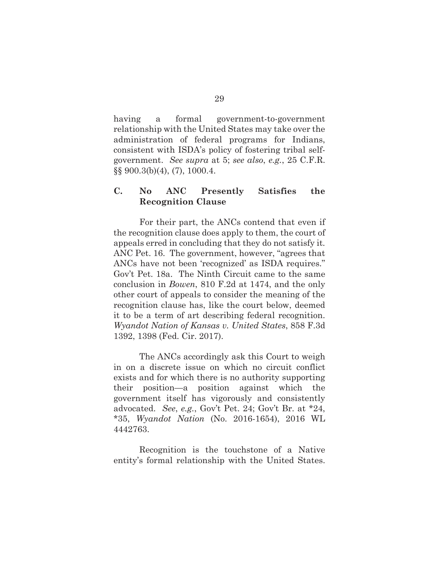having a formal government-to-government relationship with the United States may take over the administration of federal programs for Indians, consistent with ISDA's policy of fostering tribal selfgovernment. *See supra* at 5; *see also*, *e.g.*, 25 C.F.R. §§ 900.3(b)(4), (7), 1000.4.

### **C. No ANC Presently Satisfies the Recognition Clause**

For their part, the ANCs contend that even if the recognition clause does apply to them, the court of appeals erred in concluding that they do not satisfy it. ANC Pet. 16. The government, however, "agrees that ANCs have not been 'recognized' as ISDA requires." Gov't Pet. 18a. The Ninth Circuit came to the same conclusion in *Bowen*, 810 F.2d at 1474, and the only other court of appeals to consider the meaning of the recognition clause has, like the court below, deemed it to be a term of art describing federal recognition. *Wyandot Nation of Kansas v. United States*, 858 F.3d 1392, 1398 (Fed. Cir. 2017).

The ANCs accordingly ask this Court to weigh in on a discrete issue on which no circuit conflict exists and for which there is no authority supporting their position—a position against which the government itself has vigorously and consistently advocated. *See*, *e.g.*, Gov't Pet. 24; Gov't Br. at \*24, \*35, *Wyandot Nation* (No. 2016-1654), 2016 WL 4442763.

Recognition is the touchstone of a Native entity's formal relationship with the United States.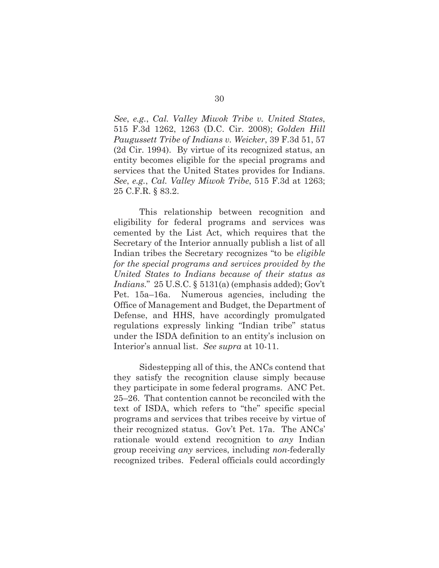*See*, *e.g.*, *Cal. Valley Miwok Tribe v. United States*, 515 F.3d 1262, 1263 (D.C. Cir. 2008); *Golden Hill Paugussett Tribe of Indians v. Weicker*, 39 F.3d 51, 57 (2d Cir. 1994). By virtue of its recognized status, an entity becomes eligible for the special programs and services that the United States provides for Indians. *See*, *e.g.*, *Cal. Valley Miwok Tribe*, 515 F.3d at 1263; 25 C.F.R. § 83.2.

This relationship between recognition and eligibility for federal programs and services was cemented by the List Act, which requires that the Secretary of the Interior annually publish a list of all Indian tribes the Secretary recognizes "to be *eligible for the special programs and services provided by the United States to Indians because of their status as Indians.*" 25 U.S.C. § 5131(a) (emphasis added); Gov't Pet. 15a–16a. Numerous agencies, including the Office of Management and Budget, the Department of Defense, and HHS, have accordingly promulgated regulations expressly linking "Indian tribe" status under the ISDA definition to an entity's inclusion on Interior's annual list. *See supra* at 10-11.

Sidestepping all of this, the ANCs contend that they satisfy the recognition clause simply because they participate in some federal programs. ANC Pet. 25–26. That contention cannot be reconciled with the text of ISDA, which refers to "the" specific special programs and services that tribes receive by virtue of their recognized status. Gov't Pet. 17a. The ANCs' rationale would extend recognition to *any* Indian group receiving *any* services, including *non*-federally recognized tribes. Federal officials could accordingly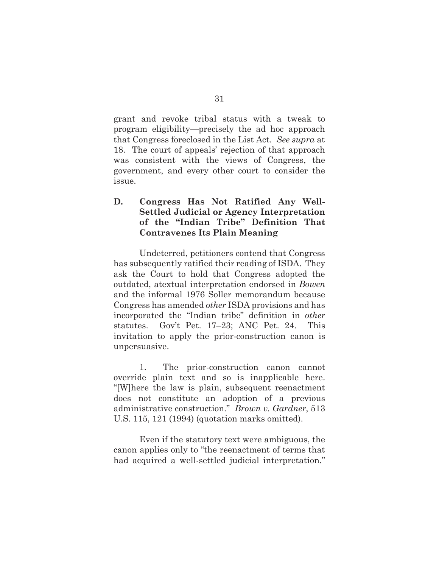grant and revoke tribal status with a tweak to program eligibility—precisely the ad hoc approach that Congress foreclosed in the List Act. *See supra* at 18. The court of appeals' rejection of that approach was consistent with the views of Congress, the government, and every other court to consider the issue.

## **D. Congress Has Not Ratified Any Well-Settled Judicial or Agency Interpretation of the "Indian Tribe" Definition That Contravenes Its Plain Meaning**

Undeterred, petitioners contend that Congress has subsequently ratified their reading of ISDA. They ask the Court to hold that Congress adopted the outdated, atextual interpretation endorsed in *Bowen*  and the informal 1976 Soller memorandum because Congress has amended *other* ISDA provisions and has incorporated the "Indian tribe" definition in *other* statutes. Gov't Pet. 17–23; ANC Pet. 24. This invitation to apply the prior-construction canon is unpersuasive.

1. The prior-construction canon cannot override plain text and so is inapplicable here. "[W]here the law is plain, subsequent reenactment does not constitute an adoption of a previous administrative construction." *Brown v. Gardner*, 513 U.S. 115, 121 (1994) (quotation marks omitted).

Even if the statutory text were ambiguous, the canon applies only to "the reenactment of terms that had acquired a well-settled judicial interpretation."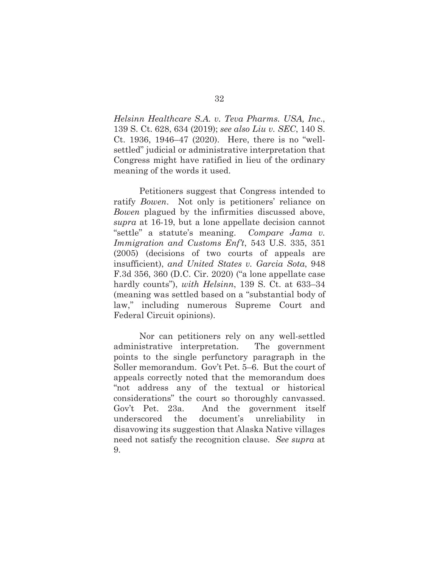*Helsinn Healthcare S.A. v. Teva Pharms. USA, Inc*., 139 S. Ct. 628, 634 (2019); *see also Liu v. SEC*, 140 S. Ct. 1936, 1946–47 (2020). Here, there is no "wellsettled" judicial or administrative interpretation that Congress might have ratified in lieu of the ordinary meaning of the words it used.

Petitioners suggest that Congress intended to ratify *Bowen*. Not only is petitioners' reliance on *Bowen* plagued by the infirmities discussed above, *supra* at 16-19, but a lone appellate decision cannot "settle" a statute's meaning. *Compare Jama v. Immigration and Customs Enf't*, 543 U.S. 335, 351 (2005) (decisions of two courts of appeals are insufficient), *and United States v. Garcia Sota*, 948 F.3d 356, 360 (D.C. Cir. 2020) ("a lone appellate case hardly counts"), *with Helsinn*, 139 S. Ct. at 633–34 (meaning was settled based on a "substantial body of law," including numerous Supreme Court and Federal Circuit opinions).

 Nor can petitioners rely on any well-settled administrative interpretation. The government points to the single perfunctory paragraph in the Soller memorandum. Gov't Pet. 5–6. But the court of appeals correctly noted that the memorandum does "not address any of the textual or historical considerations" the court so thoroughly canvassed. Gov't Pet. 23a. And the government itself underscored the document's unreliability in disavowing its suggestion that Alaska Native villages need not satisfy the recognition clause. *See supra* at 9.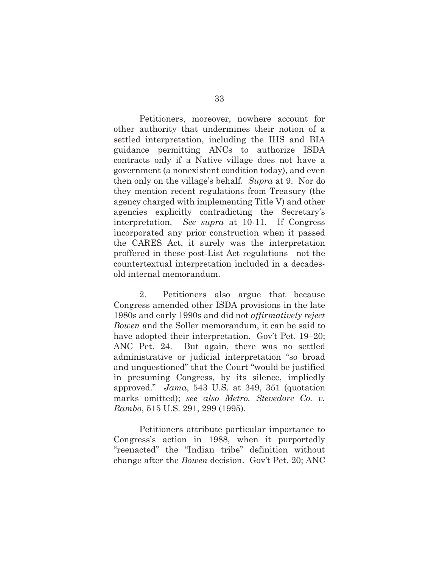Petitioners, moreover, nowhere account for other authority that undermines their notion of a settled interpretation, including the IHS and BIA guidance permitting ANCs to authorize ISDA contracts only if a Native village does not have a government (a nonexistent condition today), and even then only on the village's behalf. *Supra* at 9. Nor do they mention recent regulations from Treasury (the agency charged with implementing Title V) and other agencies explicitly contradicting the Secretary's interpretation. *See supra* at 10-11. If Congress incorporated any prior construction when it passed the CARES Act, it surely was the interpretation proffered in these post-List Act regulations—not the countertextual interpretation included in a decadesold internal memorandum.

2. Petitioners also argue that because Congress amended other ISDA provisions in the late 1980s and early 1990s and did not *affirmatively reject Bowen* and the Soller memorandum, it can be said to have adopted their interpretation. Gov't Pet. 19–20; ANC Pet. 24. But again, there was no settled administrative or judicial interpretation "so broad and unquestioned" that the Court "would be justified in presuming Congress, by its silence, impliedly approved." *Jama*, 543 U.S. at 349, 351 (quotation marks omitted); *see also Metro. Stevedore Co. v. Rambo*, 515 U.S. 291, 299 (1995).

Petitioners attribute particular importance to Congress's action in 1988, when it purportedly "reenacted" the "Indian tribe" definition without change after the *Bowen* decision. Gov't Pet. 20; ANC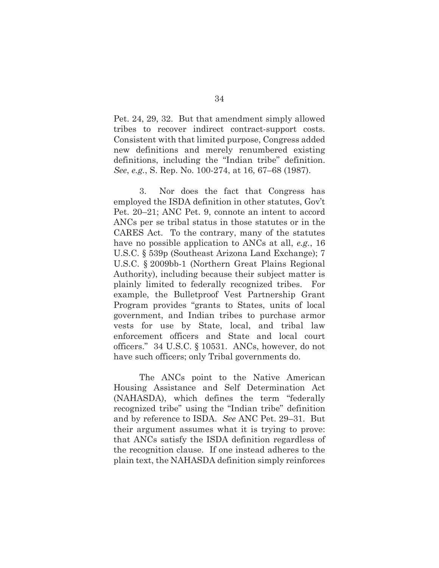Pet. 24, 29, 32. But that amendment simply allowed tribes to recover indirect contract-support costs. Consistent with that limited purpose, Congress added new definitions and merely renumbered existing definitions, including the "Indian tribe" definition. *See*, *e.g.*, S. Rep. No. 100-274, at 16, 67–68 (1987).

3. Nor does the fact that Congress has employed the ISDA definition in other statutes, Gov't Pet. 20–21; ANC Pet. 9, connote an intent to accord ANCs per se tribal status in those statutes or in the CARES Act. To the contrary, many of the statutes have no possible application to ANCs at all, *e.g.*, 16 U.S.C. § 539p (Southeast Arizona Land Exchange); 7 U.S.C. § 2009bb-1 (Northern Great Plains Regional Authority), including because their subject matter is plainly limited to federally recognized tribes. For example, the Bulletproof Vest Partnership Grant Program provides "grants to States, units of local government, and Indian tribes to purchase armor vests for use by State, local, and tribal law enforcement officers and State and local court officers." 34 U.S.C. § 10531. ANCs, however, do not have such officers; only Tribal governments do.

The ANCs point to the Native American Housing Assistance and Self Determination Act (NAHASDA), which defines the term "federally recognized tribe" using the "Indian tribe" definition and by reference to ISDA. *See* ANC Pet. 29–31. But their argument assumes what it is trying to prove: that ANCs satisfy the ISDA definition regardless of the recognition clause. If one instead adheres to the plain text, the NAHASDA definition simply reinforces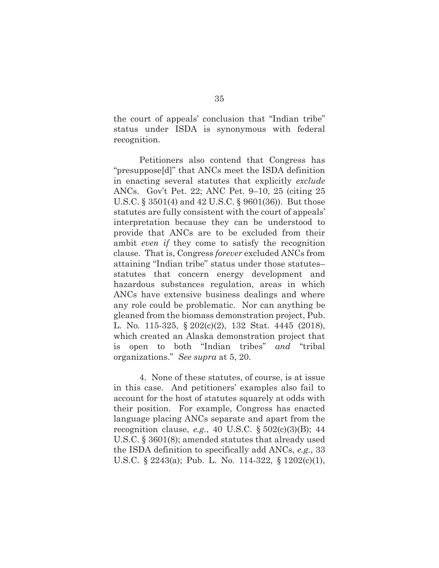the court of appeals' conclusion that "Indian tribe" status under ISDA is synonymous with federal recognition.

Petitioners also contend that Congress has "presuppose[d]" that ANCs meet the ISDA definition in enacting several statutes that explicitly *exclude* ANCs. Gov't Pet. 22; ANC Pet. 9–10, 25 (citing 25 U.S.C. § 3501(4) and 42 U.S.C. § 9601(36)). But those statutes are fully consistent with the court of appeals' interpretation because they can be understood to provide that ANCs are to be excluded from their ambit *even if* they come to satisfy the recognition clause. That is, Congress *forever* excluded ANCs from attaining "Indian tribe" status under those statutes– statutes that concern energy development and hazardous substances regulation, areas in which ANCs have extensive business dealings and where any role could be problematic. Nor can anything be gleaned from the biomass demonstration project, Pub. L. No. 115-325, § 202(c)(2), 132 Stat. 4445 (2018), which created an Alaska demonstration project that is open to both "Indian tribes" *and* "tribal organizations." *See supra* at 5, 20.

4. None of these statutes, of course, is at issue in this case. And petitioners' examples also fail to account for the host of statutes squarely at odds with their position. For example, Congress has enacted language placing ANCs separate and apart from the recognition clause, *e.g.*, 40 U.S.C. § 502(c)(3)(B); 44 U.S.C. § 3601(8); amended statutes that already used the ISDA definition to specifically add ANCs, *e.g.*, 33 U.S.C. § 2243(a); Pub. L. No. 114-322, § 1202(c)(1),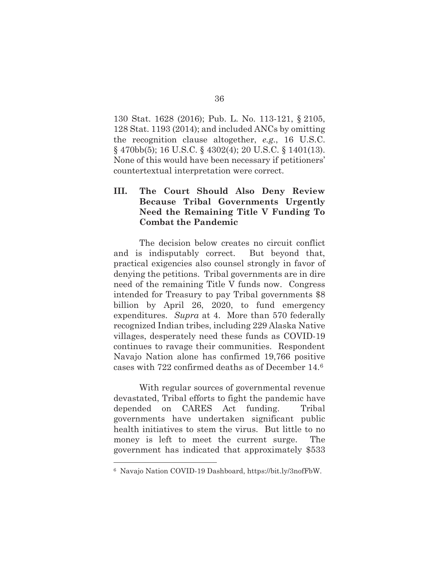130 Stat. 1628 (2016); Pub. L. No. 113-121, § 2105, 128 Stat. 1193 (2014); and included ANCs by omitting the recognition clause altogether, *e.g.*, 16 U.S.C. § 470bb(5); 16 U.S.C. § 4302(4); 20 U.S.C. § 1401(13). None of this would have been necessary if petitioners' countertextual interpretation were correct.

## **III. The Court Should Also Deny Review Because Tribal Governments Urgently Need the Remaining Title V Funding To Combat the Pandemic**

The decision below creates no circuit conflict and is indisputably correct. But beyond that, practical exigencies also counsel strongly in favor of denying the petitions. Tribal governments are in dire need of the remaining Title V funds now. Congress intended for Treasury to pay Tribal governments \$8 billion by April 26, 2020, to fund emergency expenditures. *Supra* at 4. More than 570 federally recognized Indian tribes, including 229 Alaska Native villages, desperately need these funds as COVID-19 continues to ravage their communities. Respondent Navajo Nation alone has confirmed 19,766 positive cases with 722 confirmed deaths as of December 14.6

With regular sources of governmental revenue devastated, Tribal efforts to fight the pandemic have depended on CARES Act funding. Tribal governments have undertaken significant public health initiatives to stem the virus. But little to no money is left to meet the current surge. The government has indicated that approximately \$533

<sup>6</sup> Navajo Nation COVID-19 Dashboard, https://bit.ly/3nofFbW.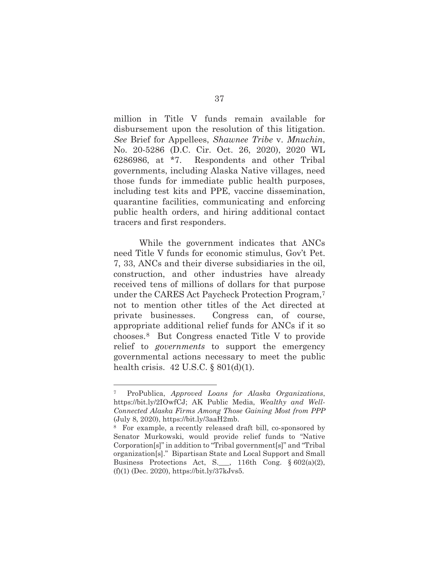million in Title V funds remain available for disbursement upon the resolution of this litigation. *See* Brief for Appellees, *Shawnee Tribe* v. *Mnuchin*, No. 20-5286 (D.C. Cir. Oct. 26, 2020), 2020 WL 6286986, at \*7. Respondents and other Tribal governments, including Alaska Native villages, need those funds for immediate public health purposes, including test kits and PPE, vaccine dissemination, quarantine facilities, communicating and enforcing public health orders, and hiring additional contact tracers and first responders.

While the government indicates that ANCs need Title V funds for economic stimulus, Gov't Pet. 7, 33, ANCs and their diverse subsidiaries in the oil, construction, and other industries have already received tens of millions of dollars for that purpose under the CARES Act Paycheck Protection Program,7 not to mention other titles of the Act directed at private businesses. Congress can, of course, appropriate additional relief funds for ANCs if it so chooses.8 But Congress enacted Title V to provide relief to *governments* to support the emergency governmental actions necessary to meet the public health crisis. 42 U.S.C. § 801(d)(1).

<sup>7</sup> ProPublica, *Approved Loans for Alaska Organizations*, https://bit.ly/2IOwfCJ; AK Public Media, *Wealthy and Well-Connected Alaska Firms Among Those Gaining Most from PPP* (July 8, 2020), https://bit.ly/3aaH2mb.

<sup>8</sup> For example, a recently released draft bill, co-sponsored by Senator Murkowski, would provide relief funds to "Native Corporation[s]" in addition to "Tribal government[s]" and "Tribal organization[s]." Bipartisan State and Local Support and Small Business Protections Act, S.  $\Box$ , 116th Cong. § 602(a)(2), (f)(1) (Dec. 2020), https://bit.ly/37kJvs5.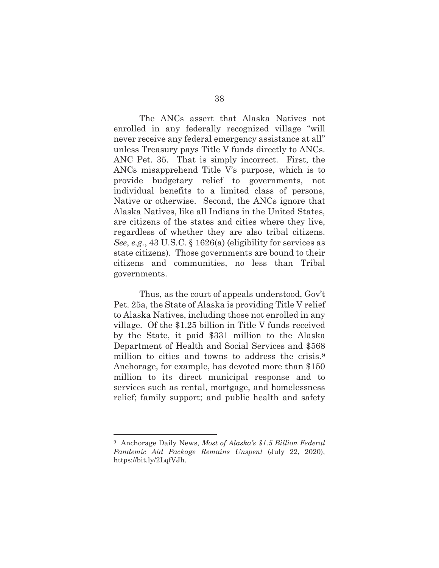The ANCs assert that Alaska Natives not enrolled in any federally recognized village "will never receive any federal emergency assistance at all" unless Treasury pays Title V funds directly to ANCs. ANC Pet. 35. That is simply incorrect. First, the ANCs misapprehend Title V's purpose, which is to provide budgetary relief to governments, not individual benefits to a limited class of persons, Native or otherwise. Second, the ANCs ignore that Alaska Natives, like all Indians in the United States, are citizens of the states and cities where they live, regardless of whether they are also tribal citizens. *See*, *e.g.*, 43 U.S.C. § 1626(a) (eligibility for services as state citizens). Those governments are bound to their citizens and communities, no less than Tribal governments.

Thus, as the court of appeals understood, Gov't Pet. 25a, the State of Alaska is providing Title V relief to Alaska Natives, including those not enrolled in any village. Of the \$1.25 billion in Title V funds received by the State, it paid \$331 million to the Alaska Department of Health and Social Services and \$568 million to cities and towns to address the crisis.<sup>9</sup> Anchorage, for example, has devoted more than \$150 million to its direct municipal response and to services such as rental, mortgage, and homelessness relief; family support; and public health and safety

<sup>9</sup> Anchorage Daily News, *Most of Alaska's \$1.5 Billion Federal Pandemic Aid Package Remains Unspent* (July 22, 2020), https://bit.ly/2LqfVJh.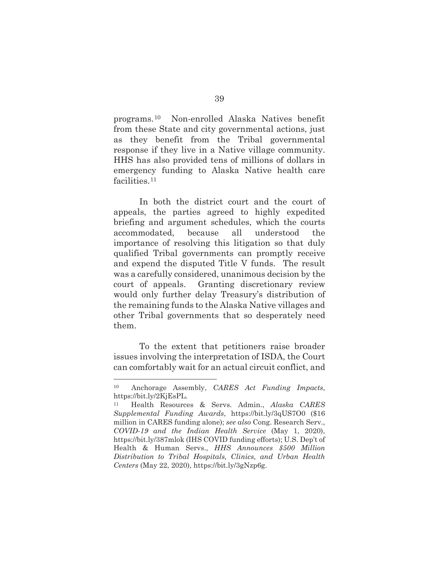programs.10 Non-enrolled Alaska Natives benefit from these State and city governmental actions, just as they benefit from the Tribal governmental response if they live in a Native village community. HHS has also provided tens of millions of dollars in emergency funding to Alaska Native health care facilities.<sup>11</sup>

In both the district court and the court of appeals, the parties agreed to highly expedited briefing and argument schedules, which the courts accommodated, because all understood the importance of resolving this litigation so that duly qualified Tribal governments can promptly receive and expend the disputed Title V funds. The result was a carefully considered, unanimous decision by the court of appeals. Granting discretionary review would only further delay Treasury's distribution of the remaining funds to the Alaska Native villages and other Tribal governments that so desperately need them.

To the extent that petitioners raise broader issues involving the interpretation of ISDA, the Court can comfortably wait for an actual circuit conflict, and

<sup>10</sup> Anchorage Assembly, *CARES Act Funding Impacts*, https://bit.ly/2KjEsPL.

<sup>11</sup> Health Resources & Servs. Admin., *Alaska CARES Supplemental Funding Awards*, https://bit.ly/3qUS7O0 (\$16 million in CARES funding alone); *see also* Cong. Research Serv., *COVID-19 and the Indian Health Service* (May 1, 2020), https://bit.ly/387mlok (IHS COVID funding efforts); U.S. Dep't of Health & Human Servs., *HHS Announces \$500 Million Distribution to Tribal Hospitals, Clinics, and Urban Health Centers* (May 22, 2020), https://bit.ly/3gNzp6g.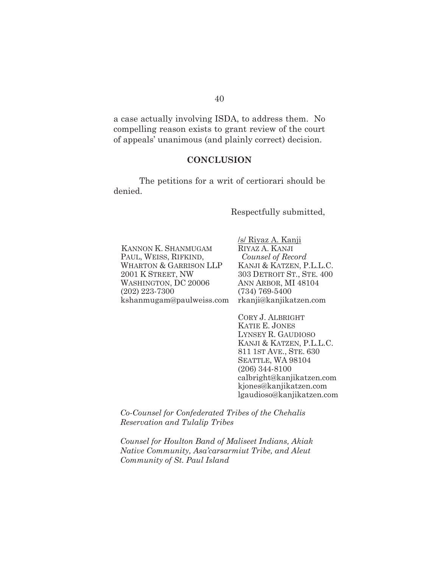a case actually involving ISDA, to address them. No compelling reason exists to grant review of the court of appeals' unanimous (and plainly correct) decision.

#### **CONCLUSION**

 The petitions for a writ of certiorari should be denied.

Respectfully submitted,

KANNON K. SHANMUGAM PAUL, WEISS, RIFKIND, WHARTON & GARRISON LLP 2001 K STREET, NW WASHINGTON, DC 20006 (202) 223-7300 kshanmugam@paulweiss.com /s/ Riyaz A. Kanji RIYAZ A. KANJI *Counsel of Record*  KANJI & KATZEN, P.L.L.C. 303 DETROIT ST., STE. 400 ANN ARBOR, MI 48104 (734) 769-5400 rkanji@kanjikatzen.com

CORY J. ALBRIGHT KATIE E. JONES LYNSEY R. GAUDIOSO KANJI & KATZEN, P.L.L.C. 811 1ST AVE., STE. 630 SEATTLE, WA 98104 (206) 344-8100 calbright@kanjikatzen.com kjones@kanjikatzen.com lgaudioso@kanjikatzen.com

*Co-Counsel for Confederated Tribes of the Chehalis Reservation and Tulalip Tribes* 

*Counsel for Houlton Band of Maliseet Indians, Akiak Native Community, Asa'carsarmiut Tribe, and Aleut Community of St. Paul Island*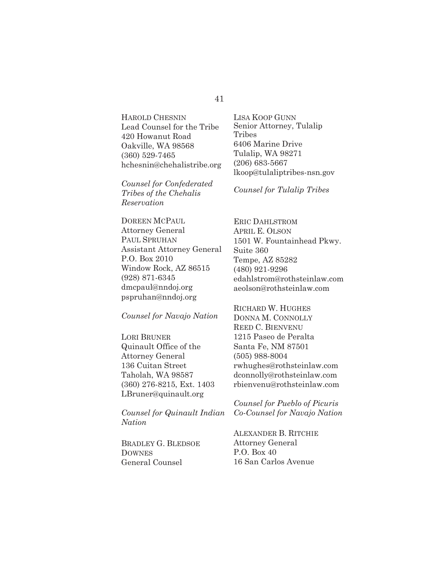HAROLD CHESNIN Lead Counsel for the Tribe 420 Howanut Road Oakville, WA 98568 (360) 529-7465 hchesnin@chehalistribe.org

*Counsel for Confederated Tribes of the Chehalis Reservation* 

DOREEN MCPAUL Attorney General PAUL SPRUHAN Assistant Attorney General P.O. Box 2010 Window Rock, AZ 86515 (928) 871-6345 dmcpaul@nndoj.org pspruhan@nndoj.org

*Counsel for Navajo Nation* 

LORI BRUNER Quinault Office of the Attorney General 136 Cuitan Street Taholah, WA 98587 (360) 276-8215, Ext. 1403 LBruner@quinault.org

*Counsel for Quinault Indian Nation* 

BRADLEY G. BLEDSOE **DOWNES** General Counsel

LISA KOOP GUNN Senior Attorney, Tulalip Tribes 6406 Marine Drive Tulalip, WA 98271 (206) 683-5667 lkoop@tulaliptribes-nsn.gov

*Counsel for Tulalip Tribes* 

ERIC DAHLSTROM APRIL E. OLSON 1501 W. Fountainhead Pkwy. Suite 360 Tempe, AZ 85282 (480) 921-9296 edahlstrom@rothsteinlaw.com aeolson@rothsteinlaw.com

RICHARD W. HUGHES DONNA M. CONNOLLY REED C. BIENVENU 1215 Paseo de Peralta Santa Fe, NM 87501 (505) 988-8004 rwhughes@rothsteinlaw.com dconnolly@rothsteinlaw.com rbienvenu@rothsteinlaw.com

*Counsel for Pueblo of Picuris Co-Counsel for Navajo Nation* 

ALEXANDER B. RITCHIE Attorney General P.O. Box 40 16 San Carlos Avenue